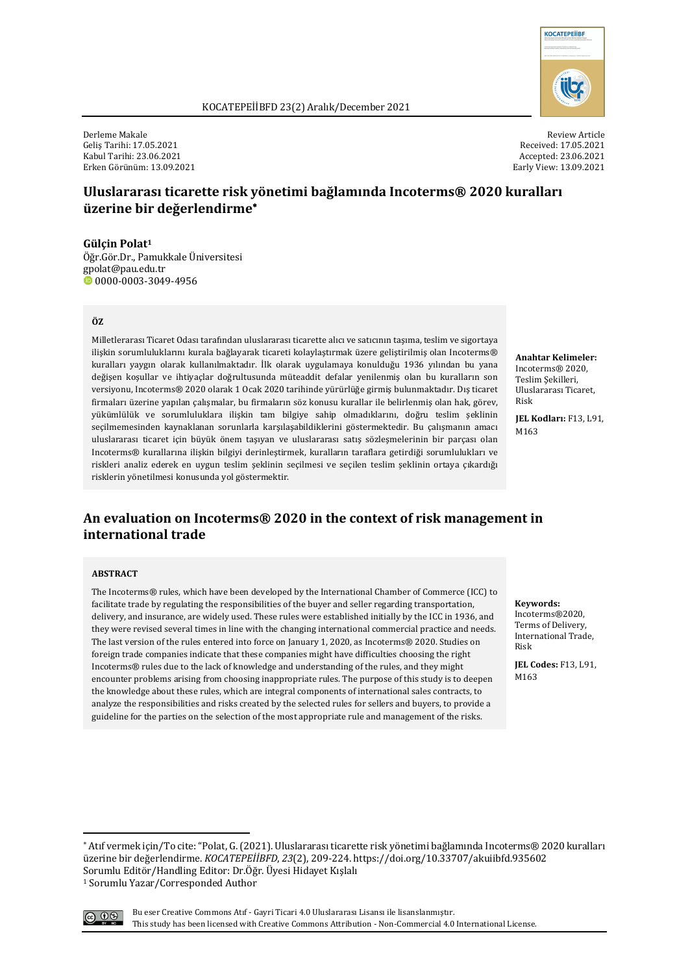

Derleme Makale Geliş Tarihi: 17.05.2021 Kabul Tarihi: 23.06.2021 Erken Görünüm: 13.09.2021

Review Article Received: 17.05.2021 Accepted: 23.06.2021 Early View: 13.09.2021

# **Uluslararası ticarette risk yönetimi bağlamında Incoterms® 2020 kuralları üzerine bir değerlendirme**\*

**Gülçin Polat1** Öğr.Gör.Dr., Pamukkale Üniversitesi gpolat@pau.edu.tr  $\bullet$  0000-0003-3049-4956

#### **ÖZ**

Milletlerarası Ticaret Odası tarafından uluslararası ticarette alıcı ve satıcının taşıma, teslim ve sigortaya ilişkin sorumluluklarını kurala bağlayarak ticareti kolaylaştırmak üzere geliştirilmiş olan Incoterms® kuralları yaygın olarak kullanılmaktadır. İlk olarak uygulamaya konulduğu 1936 yılından bu yana değişen koşullar ve ihtiyaçlar doğrultusunda müteaddit defalar yenilenmiş olan bu kuralların son versiyonu, Incoterms® 2020 olarak 1 Ocak 2020 tarihinde yürürlüğe girmiş bulunmaktadır. Dış ticaret firmaları üzerine yapılan çalışmalar, bu firmaların söz konusu kurallar ile belirlenmiş olan hak, görev, yükümlülük ve sorumluluklara ilişkin tam bilgiye sahip olmadıklarını, doğru teslim şeklinin seçilmemesinden kaynaklanan sorunlarla karşılaşabildiklerini göstermektedir. Bu çalışmanın amacı uluslararası ticaret için büyük önem taşıyan ve uluslararası satış sözleşmelerinin bir parçası olan Incoterms® kurallarına ilişkin bilgiyi derinleştirmek, kuralların taraflara getirdiği sorumlulukları ve riskleri analiz ederek en uygun teslim seklinin secilmesi ve secilen teslim seklinin ortava cıkardığı risklerin yönetilmesi konusunda yol göstermektir.

**Anahtar Kelimeler:** Incoterms® 2020, Teslim Şekilleri, Uluslararası Ticaret, Risk

**JEL Kodları:** F13, L91, M163

# An evaluation on Incoterms<sup>®</sup> 2020 in the context of risk management in **international trade**

#### **ABSTRACT**

The Incoterms® rules, which have been developed by the International Chamber of Commerce (ICC) to facilitate trade by regulating the responsibilities of the buyer and seller regarding transportation, delivery, and insurance, are widely used. These rules were established initially by the ICC in 1936, and they were revised several times in line with the changing international commercial practice and needs. The last version of the rules entered into force on January 1, 2020, as Incoterms® 2020. Studies on foreign trade companies indicate that these companies might have difficulties choosing the right Incoterms® rules due to the lack of knowledge and understanding of the rules, and they might encounter problems arising from choosing inappropriate rules. The purpose of this study is to deepen the knowledge about these rules, which are integral components of international sales contracts, to analyze the responsibilities and risks created by the selected rules for sellers and buyers, to provide a guideline for the parties on the selection of the most appropriate rule and management of the risks.

**Keywords:** 

Incoterms®2020, Terms of Delivery, International Trade. Risk

**JEL Codes:** F13, L91, M163

<sup>\*</sup> Atıf vermek için/To cite: "Polat, G. (2021). Uluslararası ticarette risk yönetimi bağlamında Incoterms® 2020 kuralları üzerine bir değerlendirme. *KOCATEPEİİBFD*, 23(2), 209-224. https://doi.org/10.33707/akuiibfd.935602 Sorumlu Editör/Handling Editor: Dr.Öğr. Üyesi Hidayet Kışlalı <sup>1</sup> Sorumlu Yazar/Corresponded Author

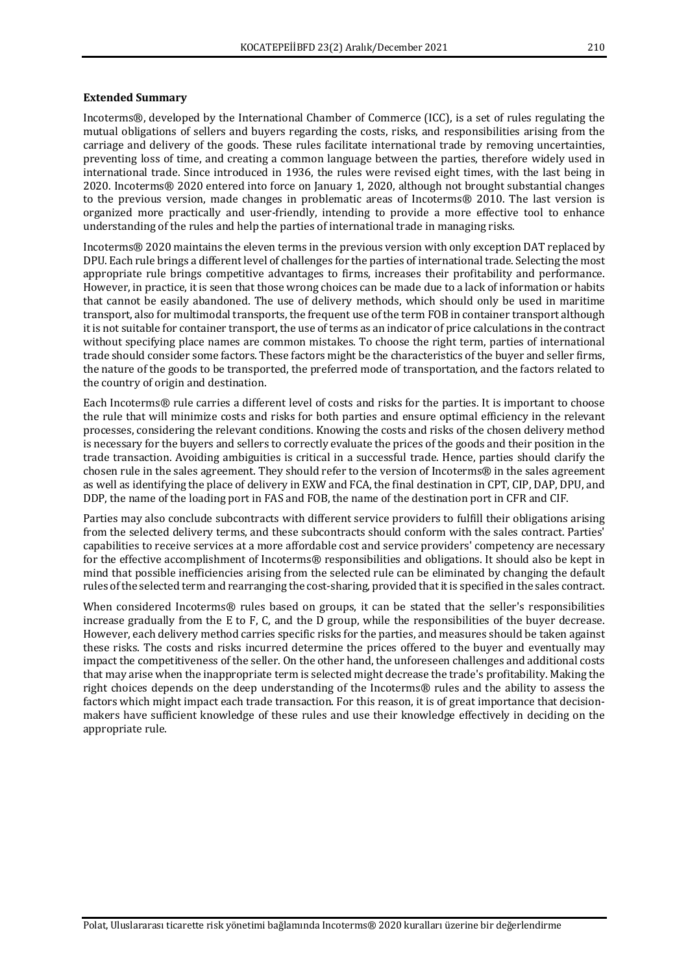#### **Extended Summary**

Incoterms®, developed by the International Chamber of Commerce (ICC), is a set of rules regulating the mutual obligations of sellers and buyers regarding the costs, risks, and responsibilities arising from the carriage and delivery of the goods. These rules facilitate international trade by removing uncertainties, preventing loss of time, and creating a common language between the parties, therefore widely used in international trade. Since introduced in 1936, the rules were revised eight times, with the last being in 2020. Incoterms® 2020 entered into force on January 1, 2020, although not brought substantial changes to the previous version, made changes in problematic areas of Incoterms® 2010. The last version is organized more practically and user-friendly, intending to provide a more effective tool to enhance understanding of the rules and help the parties of international trade in managing risks.

Incoterms® 2020 maintains the eleven terms in the previous version with only exception DAT replaced by DPU. Each rule brings a different level of challenges for the parties of international trade. Selecting the most appropriate rule brings competitive advantages to firms, increases their profitability and performance. However, in practice, it is seen that those wrong choices can be made due to a lack of information or habits that cannot be easily abandoned. The use of delivery methods, which should only be used in maritime transport, also for multimodal transports, the frequent use of the term FOB in container transport although it is not suitable for container transport, the use of terms as an indicator of price calculations in the contract without specifying place names are common mistakes. To choose the right term, parties of international trade should consider some factors. These factors might be the characteristics of the buyer and seller firms, the nature of the goods to be transported, the preferred mode of transportation, and the factors related to the country of origin and destination.

Each Incoterms® rule carries a different level of costs and risks for the parties. It is important to choose the rule that will minimize costs and risks for both parties and ensure optimal efficiency in the relevant processes, considering the relevant conditions. Knowing the costs and risks of the chosen delivery method is necessary for the buyers and sellers to correctly evaluate the prices of the goods and their position in the trade transaction. Avoiding ambiguities is critical in a successful trade. Hence, parties should clarify the chosen rule in the sales agreement. They should refer to the version of Incoterms® in the sales agreement as well as identifying the place of delivery in EXW and FCA, the final destination in CPT, CIP, DAP, DPU, and DDP, the name of the loading port in FAS and FOB, the name of the destination port in CFR and CIF.

Parties may also conclude subcontracts with different service providers to fulfill their obligations arising from the selected delivery terms, and these subcontracts should conform with the sales contract. Parties' capabilities to receive services at a more affordable cost and service providers' competency are necessary for the effective accomplishment of Incoterms® responsibilities and obligations. It should also be kept in mind that possible inefficiencies arising from the selected rule can be eliminated by changing the default rules of the selected term and rearranging the cost-sharing, provided that it is specified in the sales contract.

When considered Incoterms® rules based on groups, it can be stated that the seller's responsibilities increase gradually from the E to F, C, and the D group, while the responsibilities of the buyer decrease. However, each delivery method carries specific risks for the parties, and measures should be taken against these risks. The costs and risks incurred determine the prices offered to the buyer and eventually may impact the competitiveness of the seller. On the other hand, the unforeseen challenges and additional costs that may arise when the inappropriate term is selected might decrease the trade's profitability. Making the right choices depends on the deep understanding of the Incoterms® rules and the ability to assess the factors which might impact each trade transaction. For this reason, it is of great importance that decisionmakers have sufficient knowledge of these rules and use their knowledge effectively in deciding on the appropriate rule.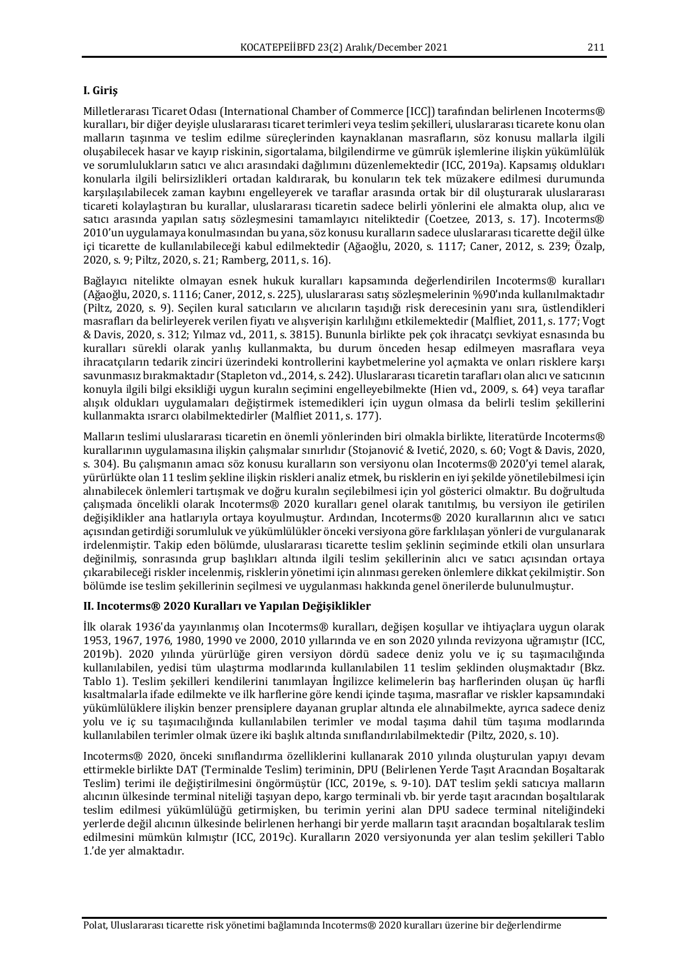## **I. Giriş**

Milletlerarası Ticaret Odası (International Chamber of Commerce [ICC]) tarafından belirlenen Incoterms® kuralları, bir diğer deyişle uluslararası ticaret terimleri veya teslim şekilleri, uluslararası ticarete konu olan malların taşınma ve teslim edilme süreçlerinden kaynaklanan masrafların, söz konusu mallarla ilgili oluşabilecek hasar ve kayıp riskinin, sigortalama, bilgilendirme ve gümrük işlemlerine ilişkin yükümlülük ve sorumlulukların satıcı ve alıcı arasındaki dağılımını düzenlemektedir (ICC, 2019a). Kapsamış oldukları konularla ilgili belirsizlikleri ortadan kaldırarak, bu konuların tek tek müzakere edilmesi durumunda karşılaşılabilecek zaman kaybını engelleyerek ve taraflar arasında ortak bir dil oluşturarak uluslararası ticareti kolaylaştıran bu kurallar, uluslararası ticaretin sadece belirli yönlerini ele almakta olup, alıcı ve satıcı arasında yapılan satış sözleşmesini tamamlayıcı niteliktedir (Coetzee, 2013, s. 17). Incoterms® 2010'un uygulamaya konulmasından bu yana, söz konusu kuralların sadece uluslararası ticarette değil ülke içi ticarette de kullanılabileceği kabul edilmektedir (Ağaoğlu, 2020, s. 1117; Caner, 2012, s. 239; Özalp, 2020, s. 9; Piltz, 2020, s. 21; Ramberg, 2011, s. 16).

Bağlayıcı nitelikte olmayan esnek hukuk kuralları kapsamında değerlendirilen Incoterms® kuralları (Ağaoğlu, 2020, s. 1116; Caner, 2012, s. 225), uluslararası satış sözleşmelerinin %90'ında kullanılmaktadır (Piltz, 2020, s. 9). Seçilen kural satıcıların ve alıcıların taşıdığı risk derecesinin yanı sıra, üstlendikleri masrafları da belirleyerek verilen fiyatı ve alışverişin karlılığını etkilemektedir (Malfliet, 2011, s. 177; Vogt & Davis, 2020, s. 312; Yılmaz vd., 2011, s. 3815). Bununla birlikte pek çok ihracatçı sevkiyat esnasında bu kuralları sürekli olarak yanlış kullanmakta, bu durum önceden hesap edilmeyen masraflara veya ihracatcıların tedarik zinciri üzerindeki kontrollerini kaybetmelerine yol açmakta ve onları risklere karsı savunmasız bırakmaktadır (Stapleton vd., 2014, s. 242). Uluslararası ticaretin tarafları olan alıcı ve satıcının konuyla ilgili bilgi eksikliği uygun kuralın seçimini engelleyebilmekte (Hien vd., 2009, s. 64) yeya taraflar alışık oldukları uygulamaları değiştirmek istemedikleri için uygun olmasa da belirli teslim sekillerini kullanmakta ısrarcı olabilmektedirler (Malfliet 2011, s. 177).

Malların teslimi uluslararası ticaretin en önemli yönlerinden biri olmakla birlikte, literatürde Incoterms® kurallarının uygulamasına ilişkin çalışmalar sınırlıdır (Stojanović & Ivetić, 2020, s. 60; Vogt & Davis, 2020, s. 304). Bu calismanın amacı söz konusu kuralların son versiyonu olan Incoterms® 2020'yi temel alarak. yürürlükte olan 11 teslim sekline ilişkin riskleri analiz etmek, bu risklerin en iyi sekilde yönetilebilmesi için alınabilecek önlemleri tartışmak ve doğru kuralın seçilebilmesi için yol gösterici olmaktır. Bu doğrultuda çalışmada öncelikli olarak Incoterms® 2020 kuralları genel olarak tanıtılmış, bu versiyon ile getirilen değişiklikler ana hatlarıyla ortaya koyulmuştur. Ardından, Incoterms® 2020 kurallarının alıcı ve satıcı açısından getirdiği sorumluluk ve yükümlülükler önceki versiyona göre farklılaşan yönleri de vurgulanarak irdelenmiştir. Takip eden bölümde, uluslararası ticarette teslim şeklinin seçiminde etkili olan unsurlara değinilmiş, sonrasında grup başlıkları altında ilgili teslim şekillerinin alıcı ve satıcı açısından ortaya çıkarabileceği riskler incelenmiş, risklerin yönetimi için alınması gereken önlemlere dikkat çekilmiştir. Son bölümde ise teslim şekillerinin seçilmesi ve uygulanması hakkında genel önerilerde bulunulmuştur.

#### **II. Incoterms® 2020 Kuralları ve Yapılan Değişiklikler**

İlk olarak 1936'da yayınlanmış olan Incoterms® kuralları, değişen koşullar ve ihtiyaçlara uygun olarak 1953, 1967, 1976, 1980, 1990 ve 2000, 2010 yıllarında ve en son 2020 yılında revizyona uğramıştır (ICC, 2019b). 2020 yılında yürürlüğe giren versiyon dördü sadece deniz yolu ve iç su taşımacılığında kullanılabilen, yedisi tüm ulaştırma modlarında kullanılabilen 11 teslim şeklinden oluşmaktadır (Bkz. Tablo 1). Teslim sekilleri kendilerini tanımlayan İngilizce kelimelerin baş harflerinden oluşan üç harfli kısaltmalarla ifade edilmekte ve ilk harflerine göre kendi içinde taşıma, masraflar ve riskler kapsamındaki yükümlülüklere ilişkin benzer prensiplere dayanan gruplar altında ele alınabilmekte, ayrıca sadece deniz yolu ve iç su taşımacılığında kullanılabilen terimler ve modal taşıma dahil tüm taşıma modlarında kullanılabilen terimler olmak üzere iki başlık altında sınıflandırılabilmektedir (Piltz, 2020, s. 10).

Incoterms® 2020, önceki sınıflandırma özelliklerini kullanarak 2010 yılında oluşturulan yapıyı devam ettirmekle birlikte DAT (Terminalde Teslim) teriminin, DPU (Belirlenen Yerde Tasıt Aracından Bosaltarak Teslim) terimi ile değiştirilmesini öngörmüştür (ICC, 2019e, s. 9-10). DAT teslim şekli satıcıya malların alıcının ülkesinde terminal niteliği taşıyan depo, kargo terminali vb. bir yerde taşıt aracından boşaltılarak teslim edilmesi yükümlülüğü getirmişken, bu terimin yerini alan DPU sadece terminal niteliğindeki yerlerde değil alıcının ülkesinde belirlenen herhangi bir yerde malların taşıt aracından boşaltılarak teslim edilmesini mümkün kılmıştır (ICC, 2019c). Kuralların 2020 versiyonunda yer alan teslim şekilleri Tablo 1.'de yer almaktadır.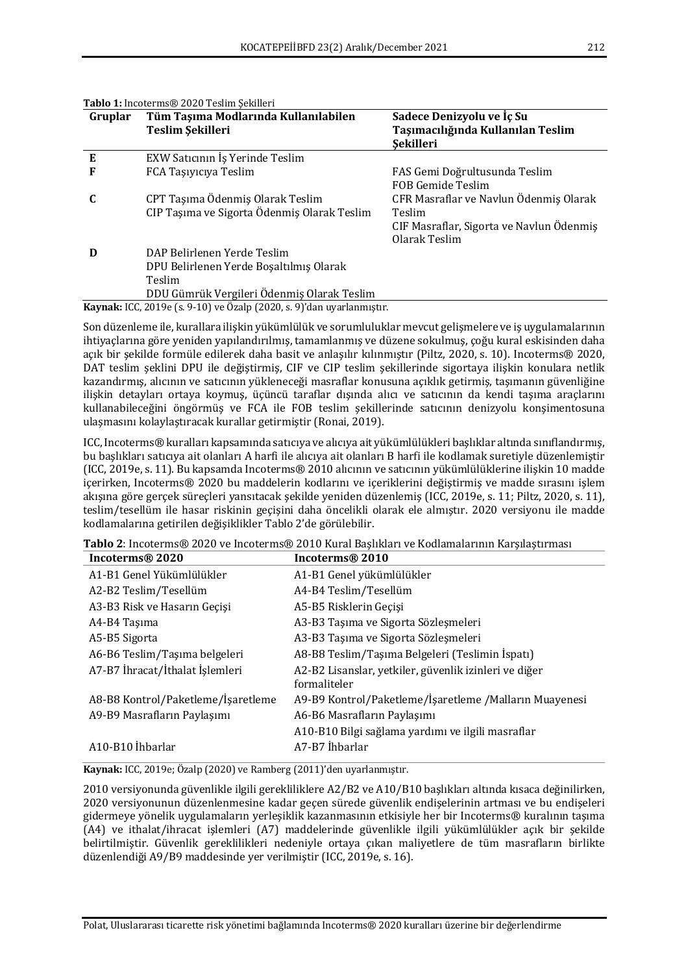| Gruplar | Tüm Taşıma Modlarında Kullanılabilen                                         | Sadece Denizyolu ve Iç Su                |
|---------|------------------------------------------------------------------------------|------------------------------------------|
|         | Teslim Şekilleri                                                             | Taşımacılığında Kullanılan Teslim        |
|         |                                                                              | <b>Sekilleri</b>                         |
| E       | EXW Saticinin Is Yerinde Teslim                                              |                                          |
| F       | FCA Taşıyıcıya Teslim                                                        | FAS Gemi Doğrultusunda Teslim            |
|         |                                                                              | FOB Gemide Teslim                        |
| C       | CPT Taşıma Ödenmiş Olarak Teslim                                             | CFR Masraflar ve Navlun Ödenmiş Olarak   |
|         | CIP Taşıma ve Sigorta Ödenmiş Olarak Teslim                                  | Teslim                                   |
|         |                                                                              | CIF Masraflar, Sigorta ve Navlun Ödenmiş |
|         |                                                                              | Olarak Teslim                            |
| D       | DAP Belirlenen Yerde Teslim                                                  |                                          |
|         | DPU Belirlenen Yerde Bosaltılmış Olarak                                      |                                          |
|         | Teslim                                                                       |                                          |
|         | DDU Gümrük Vergileri Ödenmiş Olarak Teslim                                   |                                          |
|         | <b>Kaynak:</b> ICC, 2019e (s. 9-10) ve Özalp (2020, s. 9)'dan uyarlanmıştır. |                                          |

Tablo 1: Incoterms® 2020 Teslim Sekilleri

Son düzenleme ile, kurallara ilişkin yükümlülük ve sorumluluklar mevcut gelişmelere ve iş uygulamalarının ihtiyaçlarına göre yeniden yapılandırılmış, tamamlanmış ve düzene sokulmuş, çoğu kural eskisinden daha açık bir şekilde formüle edilerek daha basit ve anlaşılır kılınmıştır (Piltz, 2020, s. 10). Incoterms® 2020, DAT teslim şeklini DPU ile değiştirmiş, CIF ve CIP teslim şekillerinde sigortaya ilişkin konulara netlik kazandırmış, alıcının ve satıcının yükleneceği masraflar konusuna açıklık getirmiş, taşımanın güvenliğine ilişkin detayları ortaya koymuş, üçüncü taraflar dışında alıcı ve satıcının da kendi taşıma araçlarını kullanabileceğini öngörmüş ve FCA ile FOB teslim şekillerinde satıcının denizyolu konşimentosuna ulaşmasını kolaylaştıracak kurallar getirmiştir (Ronai, 2019).

ICC, Incoterms® kuralları kapsamında satıcıya ve alıcıya ait yükümlülükleri başlıklar altında sınıflandırmış, bu başlıkları satıcıya ait olanları A harfi ile alıcıya ait olanları B harfi ile kodlamak suretiyle düzenlemiştir (ICC, 2019e, s. 11). Bu kapsamda Incoterms® 2010 alıcının ve satıcının yükümlülüklerine ilişkin 10 madde içerirken, Incoterms® 2020 bu maddelerin kodlarını ve içeriklerini değiştirmiş ve madde sırasını işlem akışına göre gerçek süreçleri yansıtacak şekilde yeniden düzenlemiş (ICC, 2019e, s. 11; Piltz, 2020, s. 11), teslim/tesellüm ile hasar riskinin geçişini daha öncelikli olarak ele almıştır. 2020 versiyonu ile madde kodlamalarına getirilen değişiklikler Tablo 2'de görülebilir.

| Incoterms® 2020                    | Incoterms <sup>®</sup> 2010                                           |
|------------------------------------|-----------------------------------------------------------------------|
| A1-B1 Genel Yükümlülükler          | A1-B1 Genel yükümlülükler                                             |
| A2-B2 Teslim/Tesellüm              | A4-B4 Teslim/Tesellüm                                                 |
| A3-B3 Risk ve Hasarın Geçişi       | A5-B5 Risklerin Geçişi                                                |
| A4-B4 Taşıma                       | A3-B3 Taşıma ve Sigorta Sözleşmeleri                                  |
| A5-B5 Sigorta                      | A3-B3 Taşıma ve Sigorta Sözleşmeleri                                  |
| A6-B6 Teslim/Taşıma belgeleri      | A8-B8 Teslim/Taşıma Belgeleri (Teslimin İspatı)                       |
| A7-B7 İhracat/İthalat İşlemleri    | A2-B2 Lisanslar, yetkiler, güvenlik izinleri ve diğer<br>formaliteler |
| A8-B8 Kontrol/Paketleme/İşaretleme | A9-B9 Kontrol/Paketleme/İşaretleme /Malların Muayenesi                |
| A9-B9 Masrafların Paylaşımı        | A6-B6 Masrafların Paylaşımı                                           |
|                                    | A10-B10 Bilgi sağlama yardımı ve ilgili masraflar                     |
| A10-B10 İhbarlar                   | A7-B7 İhbarlar                                                        |

Tablo 2: Incoterms® 2020 ve Incoterms® 2010 Kural Başlıkları ve Kodlamalarının Karşılaştırması

**Kaynak:** ICC, 2019e; Özalp (2020) ve Ramberg (2011)'den uyarlanmıştır.

2010 versiyonunda güvenlikle ilgili gerekliliklere A2/B2 ve A10/B10 başlıkları altında kısaca değinilirken, 2020 versiyonunun düzenlenmesine kadar geçen sürede güvenlik endişelerinin artması ve bu endişeleri gidermeye yönelik uygulamaların yerleşiklik kazanmasının etkisiyle her bir Incoterms® kuralının taşıma (A4) ve ithalat/ihracat işlemleri (A7) maddelerinde güvenlikle ilgili yükümlülükler açık bir şekilde belirtilmiştir. Güvenlik gereklilikleri nedeniyle ortaya çıkan maliyetlere de tüm masrafların birlikte düzenlendiği A9/B9 maddesinde ver verilmiştir (ICC, 2019e, s. 16).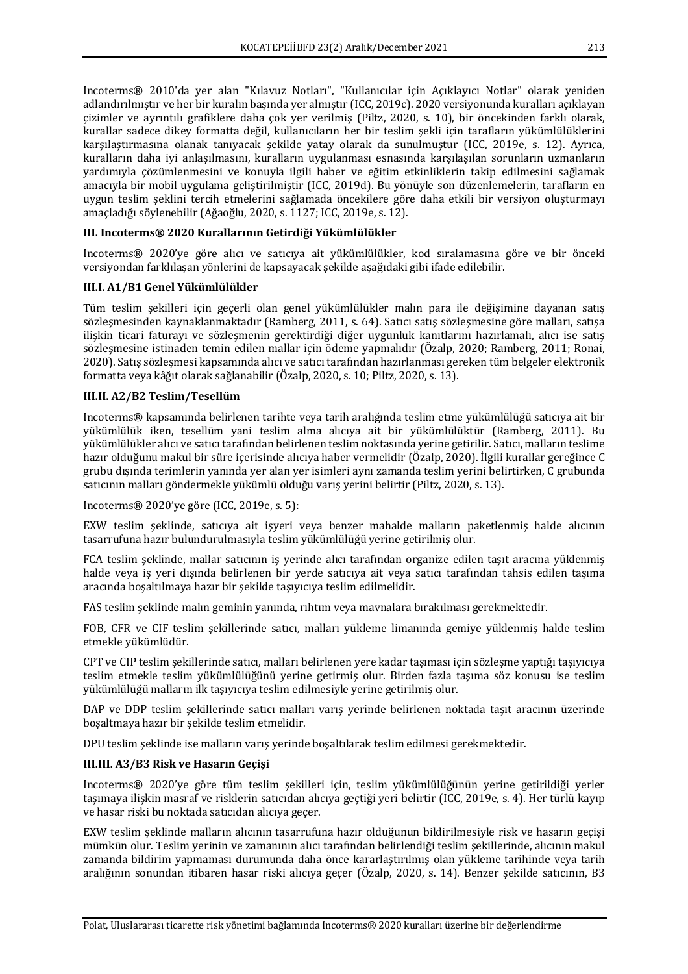Incoterms® 2010'da yer alan "Kılavuz Notları", "Kullanıcılar için Açıklayıcı Notlar" olarak yeniden adlandırılmıştır ve her bir kuralın başında yer almıştır (ICC, 2019c). 2020 versiyonunda kuralları açıklayan çizimler ve ayrıntılı grafiklere daha çok yer verilmiş (Piltz, 2020, s. 10), bir öncekinden farklı olarak, kurallar sadece dikey formatta değil, kullanıcıların her bir teslim şekli için tarafların yükümlülüklerini karşılaştırmasına olanak tanıyacak şekilde yatay olarak da sunulmuştur (ICC, 2019e, s. 12). Ayrıca, kuralların daha iyi anlaşılmasını, kuralların uygulanması esnasında karşılaşılan sorunların uzmanların yardımıyla çözümlenmesini ve konuyla ilgili haber ve eğitim etkinliklerin takip edilmesini sağlamak amacıyla bir mobil uygulama geliştirilmiştir (ICC, 2019d). Bu yönüyle son düzenlemelerin, tarafların en uygun teslim şeklini tercih etmelerini sağlamada öncekilere göre daha etkili bir versiyon oluşturmayı amaçladığı söylenebilir (Ağaoğlu, 2020, s. 1127; ICC, 2019e, s. 12).

## **III. Incoterms® 2020 Kurallarının Getirdiği Yükümlülükler**

Incoterms® 2020'ye göre alıcı ve satıcıya ait yükümlülükler, kod sıralamasına göre ve bir önceki versiyondan farklılaşan yönlerini de kapsayacak şekilde aşağıdaki gibi ifade edilebilir.

## **III.I. A1/B1 Genel Yükümlülükler**

Tüm teslim şekilleri için geçerli olan genel yükümlülükler malın para ile değişimine dayanan satış sözleşmesinden kaynaklanmaktadır (Ramberg, 2011, s. 64). Satıcı satış sözleşmesine göre malları, satışa ilişkin ticari faturayı ve sözleşmenin gerektirdiği diğer uygunluk kanıtlarını hazırlamalı, alıcı ise satış sözleşmesine istinaden temin edilen mallar için ödeme yapmalıdır (Özalp, 2020; Ramberg, 2011; Ronai, 2020). Satıs sözlesmesi kapsamında alıcı ve satıcı tarafından hazırlanması gereken tüm belgeler elektronik formatta veya kâğıt olarak sağlanabilir (Özalp, 2020, s. 10; Piltz, 2020, s. 13).

## **III.II. A2/B2 Teslim/Tesellüm**

Incoterms® kapsamında belirlenen tarihte veya tarih aralığında teslim etme yükümlülüğü satıcıya ait bir yükümlülük iken, tesellüm yani teslim alma alıcıya ait bir yükümlülüktür (Ramberg, 2011). Bu yükümlülükler alıcı ve satıcı tarafından belirlenen teslim noktasında yerine getirilir. Satıcı, malların teslime hazır olduğunu makul bir süre icerisinde alıcıya haber vermelidir (Özalp, 2020). İlgili kurallar gereğince C grubu dışında terimlerin yanında yer alan yer isimleri aynı zamanda teslim yerini belirtirken, C grubunda satıcının malları göndermekle yükümlü olduğu varış yerini belirtir (Piltz, 2020, s. 13).

Incoterms® 2020'ye göre (ICC, 2019e, s. 5):

EXW teslim şeklinde, satıcıya ait işyeri veya benzer mahalde malların paketlenmiş halde alıcının tasarrufuna hazır bulundurulmasıyla teslim yükümlülüğü yerine getirilmiş olur.

FCA teslim şeklinde, mallar satıcının iş yerinde alıcı tarafından organize edilen taşıt aracına yüklenmiş halde veya iş yeri dışında belirlenen bir yerde satıcıya ait veya satıcı tarafından tahsis edilen taşıma aracında boşaltılmaya hazır bir şekilde taşıyıcıya teslim edilmelidir.

FAS teslim seklinde malın geminin yanında, rıhtım veya mavnalara bırakılması gerekmektedir.

FOB, CFR ve CIF teslim şekillerinde satıcı, malları yükleme limanında gemiye yüklenmiş halde teslim etmekle yükümlüdür.

CPT ve CIP teslim şekillerinde satıcı, malları belirlenen yere kadar taşıması için sözleşme yaptığı taşıyıcıya teslim etmekle teslim yükümlülüğünü yerine getirmiş olur. Birden fazla taşıma söz konusu ise teslim yükümlülüğü malların ilk taşıyıcıya teslim edilmesiyle yerine getirilmiş olur.

DAP ve DDP teslim şekillerinde satıcı malları varış yerinde belirlenen noktada taşıt aracının üzerinde boşaltmaya hazır bir şekilde teslim etmelidir.

DPU teslim şeklinde ise malların varış yerinde boşaltılarak teslim edilmesi gerekmektedir.

# **III.III. A3/B3 Risk ve Hasarın Geçişi**

Incoterms® 2020'ye göre tüm teslim şekilleri için, teslim yükümlülüğünün yerine getirildiği yerler taşımaya ilişkin masraf ve risklerin satıcıdan alıcıya geçtiği yeri belirtir (ICC, 2019e, s. 4). Her türlü kayıp ve hasar riski bu noktada satıcıdan alıcıya geçer.

EXW teslim seklinde malların alıcının tasarrufuna hazır olduğunun bildirilmesiyle risk ve hasarın gecisi mümkün olur. Teslim yerinin ve zamanının alıcı tarafından belirlendiği teslim şekillerinde, alıcının makul zamanda bildirim yapmaması durumunda daha önce kararlaştırılmış olan yükleme tarihinde veya tarih aralığının sonundan itibaren hasar riski alıcıya geçer (Özalp, 2020, s. 14). Benzer sekilde satıcının, B3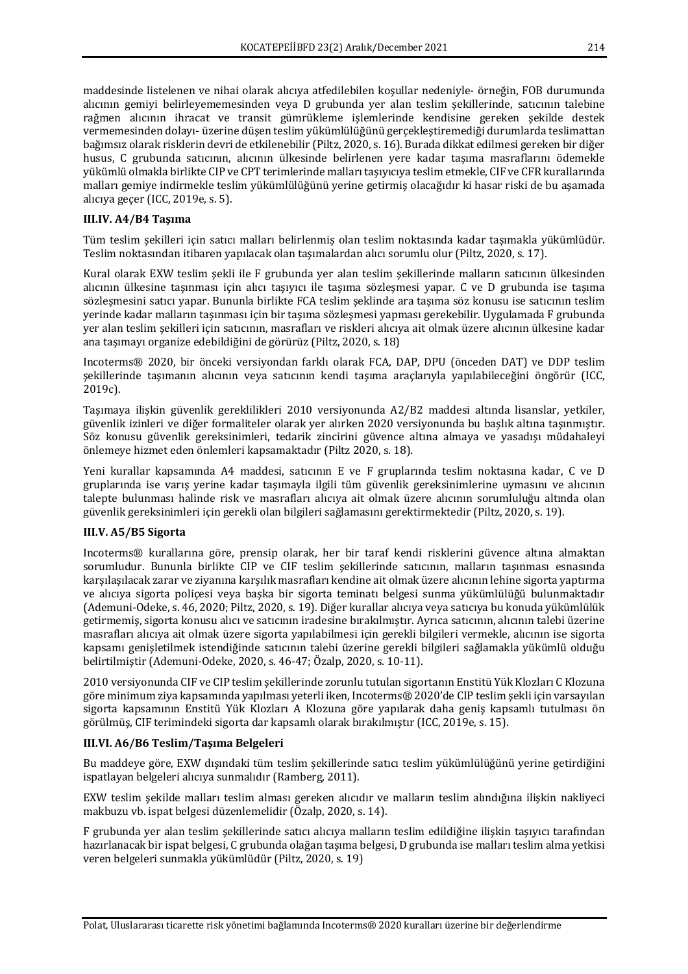maddesinde listelenen ve nihai olarak alıcıya atfedilebilen koşullar nedeniyle- örneğin, FOB durumunda alıcının gemiyi belirleyememesinden yeya D grubunda yer alan teslim sekillerinde, satıcının talebine rağmen alıcının ihracat ve transit gümrükleme işlemlerinde kendisine gereken şekilde destek vermemesinden dolayı- üzerine düşen teslim yükümlülüğünü gerçekleştiremediği durumlarda teslimattan bağımsız olarak risklerin devri de etkilenebilir (Piltz, 2020, s. 16). Burada dikkat edilmesi gereken bir diğer husus, C grubunda satıcının, alıcının ülkesinde belirlenen yere kadar taşıma masraflarını ödemekle yükümlü olmakla birlikte CIP ve CPT terimlerinde malları taşıyıcıya teslim etmekle, CIF ve CFR kurallarında malları gemiye indirmekle teslim yükümlülüğünü yerine getirmiş olacağıdır ki hasar riski de bu aşamada alıcıya geçer (ICC, 2019e, s. 5).

## **III.IV. A4/B4 Taşıma**

Tüm teslim sekilleri için satıcı malları belirlenmiş olan teslim noktasında kadar taşımakla yükümlüdür. Teslim noktasından itibaren yapılacak olan taşımalardan alıcı sorumlu olur (Piltz, 2020, s. 17).

Kural olarak EXW teslim sekli ile F grubunda ver alan teslim sekillerinde malların satıcının ülkesinden alıcının ülkesine taşınması için alıcı taşıyıcı ile taşıma sözleşmesi yapar. C ve D grubunda ise taşıma sözlesmesini satıcı yapar. Bununla birlikte FCA teslim seklinde ara taşıma söz konusu ise satıcının teslim verinde kadar malların taşınması için bir taşıma sözleşmesi yapması gerekebilir. Uygulamada F grubunda yer alan teslim sekilleri için satıcının, masrafları ve riskleri alıcıya ait olmak üzere alıcının ülkesine kadar ana taşımayı organize edebildiğini de görürüz (Piltz, 2020, s. 18)

Incoterms® 2020, bir önceki versiyondan farklı olarak FCA, DAP, DPU (önceden DAT) ve DDP teslim sekillerinde taşımanın alıcının veya satıcının kendi taşıma araçlarıyla yapılabileceğini öngörür (ICC, 2019c).

Taşımaya ilişkin güvenlik gereklilikleri 2010 versiyonunda A2/B2 maddesi altında lisanslar, yetkiler, güvenlik izinleri ve diğer formaliteler olarak yer alırken 2020 versiyonunda bu başlık altına taşınmıştır. Söz konusu güvenlik gereksinimleri, tedarik zincirini güvence altına almaya ve yasadışı müdahaleyi önlemeye hizmet eden önlemleri kapsamaktadır (Piltz 2020, s. 18).

Yeni kurallar kapsamında A4 maddesi, satıcının E ve F gruplarında teslim noktasına kadar, C ve D gruplarında ise varış yerine kadar taşımayla ilgili tüm güvenlik gereksinimlerine uymasını ve alıcının talepte bulunması halinde risk ve masrafları alıcıya ait olmak üzere alıcının sorumluluğu altında olan güvenlik gereksinimleri için gerekli olan bilgileri sağlamasını gerektirmektedir (Piltz, 2020, s. 19).

# **III.V. A5/B5 Sigorta**

Incoterms® kurallarına göre, prensip olarak, her bir taraf kendi risklerini güvence altına almaktan sorumludur. Bununla birlikte CIP ve CIF teslim şekillerinde satıcının, malların taşınması esnasında karşılaşılacak zarar ve ziyanına karşılık masrafları kendine ait olmak üzere alıcının lehine sigorta yaptırma ve alıcıya sigorta policesi veya başka bir sigorta teminatı belgesi sunma yükümlülüğü bulunmaktadır (Ademuni-Odeke, s. 46, 2020; Piltz, 2020, s. 19). Diğer kurallar alıcıya veya satıcıya bu konuda yükümlülük getirmemiş, sigorta konusu alıcı ve satıcının iradesine bırakılmıştır. Ayrıca satıcının, alıcının talebi üzerine masrafları alıcıya ait olmak üzere sigorta yapılabilmesi için gerekli bilgileri vermekle, alıcının ise sigorta kapsamı genişletilmek istendiğinde satıcının talebi üzerine gerekli bilgileri sağlamakla yükümlü olduğu belirtilmiştir (Ademuni-Odeke, 2020, s. 46-47; Özalp, 2020, s. 10-11).

2010 versiyonunda CIF ve CIP teslim şekillerinde zorunlu tutulan sigortanın Enstitü Yük Klozları C Klozuna göre minimum ziya kapsamında yapılması yeterli iken, Incoterms® 2020'de CIP teslim şekli için varsayılan sigorta kapsamının Enstitü Yük Klozları A Klozuna göre yapılarak daha geniş kapsamlı tutulması ön görülmüş, CIF terimindeki sigorta dar kapsamlı olarak bırakılmıştır (ICC, 2019e, s. 15).

# **III.VI. A6/B6 Teslim/Taşıma Belgeleri**

Bu maddeye göre, EXW dışındaki tüm teslim şekillerinde satıcı teslim yükümlülüğünü yerine getirdiğini ispatlayan belgeleri alıcıya sunmalıdır (Ramberg, 2011).

EXW teslim şekilde malları teslim alması gereken alıcıdır ve malların teslim alındığına ilişkin nakliyeci makbuzu vb. ispat belgesi düzenlemelidir (Özalp, 2020, s. 14).

F grubunda ver alan teslim sekillerinde satıcı alıcıya malların teslim edildiğine ilişkin taşıyıcı tarafından hazırlanacak bir ispat belgesi, C grubunda olağan taşıma belgesi, D grubunda ise malları teslim alma yetkisi veren belgeleri sunmakla yükümlüdür (Piltz, 2020, s. 19)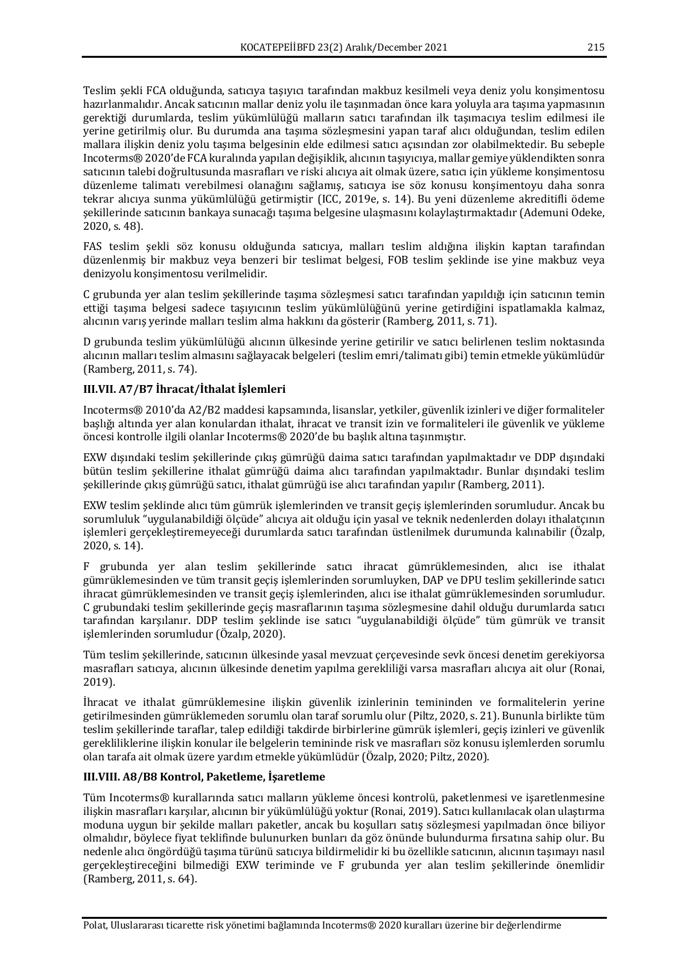Teslim şekli FCA olduğunda, satıcıya taşıyıcı tarafından makbuz kesilmeli veya deniz yolu konşimentosu hazırlanmalıdır. Ancak satıcının mallar deniz yolu ile taşınmadan önce kara yoluyla ara taşıma yapmasının gerektiği durumlarda, teslim yükümlülüğü malların satıcı tarafından ilk taşımacıya teslim edilmesi ile yerine getirilmiş olur. Bu durumda ana taşıma sözleşmesini yapan taraf alıcı olduğundan, teslim edilen mallara ilişkin deniz yolu taşıma belgesinin elde edilmesi satıcı açısından zor olabilmektedir. Bu sebeple Incoterms® 2020'de FCA kuralında yapılan değişiklik, alıcının taşıyıcıya, mallar gemiye yüklendikten sonra satıcının talebi doğrultusunda masrafları ve riski alıcıya ait olmak üzere, satıcı için yükleme konşimentosu düzenleme talimatı verebilmesi olanağını sağlamış, satıcıya ise söz konusu konsimentoyu daha sonra tekrar alıcıya sunma yükümlülüğü getirmiştir (ICC, 2019e, s. 14). Bu yeni düzenleme akreditifli ödeme şekillerinde satıcının bankaya sunacağı taşıma belgesine ulaşmasını kolaylaştırmaktadır (Ademuni Odeke, 2020, s. 48).

FAS teslim şekli söz konusu olduğunda satıcıya, malları teslim aldığına ilişkin kaptan tarafından düzenlenmiş bir makbuz veya benzeri bir teslimat belgesi, FOB teslim şeklinde ise yine makbuz veya denizyolu konsimentosu verilmelidir.

C grubunda yer alan teslim şekillerinde taşıma sözleşmesi satıcı tarafından yapıldığı için satıcının temin ettiği taşıma belgesi sadece taşıyıcının teslim yükümlülüğünü yerine getirdiğini ispatlamakla kalmaz, alıcının varış yerinde malları teslim alma hakkını da gösterir (Ramberg, 2011, s. 71).

D grubunda teslim yükümlülüğü alıcının ülkesinde yerine getirilir ve satıcı belirlenen teslim noktasında alıcının malları teslim almasını sağlayacak belgeleri (teslim emri/talimatı gibi) temin etmekle yükümlüdür (Ramberg, 2011, s. 74).

# **III.VII. A7/B7 İhracat/İthalat İşlemleri**

Incoterms® 2010'da A2/B2 maddesi kapsamında, lisanslar, yetkiler, güvenlik izinleri ve diğer formaliteler başlığı altında yer alan konulardan ithalat, ihracat ve transit izin ve formaliteleri ile güvenlik ve yükleme öncesi kontrolle ilgili olanlar Incoterms® 2020'de bu başlık altına taşınmıştır.

EXW dışındaki teslim şekillerinde çıkış gümrüğü daima satıcı tarafından yapılmaktadır ve DDP dışındaki bütün teslim şekillerine ithalat gümrüğü daima alıcı tarafından yapılmaktadır. Bunlar dışındaki teslim şekillerinde çıkış gümrüğü satıcı, ithalat gümrüğü ise alıcı tarafından yapılır (Ramberg, 2011).

EXW teslim şeklinde alıcı tüm gümrük işlemlerinden ve transit geçiş işlemlerinden sorumludur. Ancak bu sorumluluk "uygulanabildiği ölçüde" alıcıya ait olduğu için yasal ve teknik nedenlerden dolayı ithalatçının islemleri gerçekleştiremeyeceği durumlarda satıcı tarafından üstlenilmek durumunda kalınabilir (Özalp, 2020, s. 14).

F grubunda yer alan teslim şekillerinde satıcı ihracat gümrüklemesinden, alıcı ise ithalat gümrüklemesinden ve tüm transit geçiş işlemlerinden sorumluyken, DAP ve DPU teslim şekillerinde satıcı ihracat gümrüklemesinden ve transit geçis islemlerinden, alıcı ise ithalat gümrüklemesinden sorumludur. C grubundaki teslim şekillerinde geçiş masraflarının taşıma sözleşmesine dahil olduğu durumlarda satıcı tarafından karşılanır. DDP teslim şeklinde ise satıcı "uygulanabildiği ölçüde" tüm gümrük ve transit işlemlerinden sorumludur (Özalp, 2020).

Tüm teslim sekillerinde, satıcının ülkesinde vasal mevzuat cercevesinde sevk öncesi denetim gerekiyorsa masrafları satıcıya, alıcının ülkesinde denetim yapılma gerekliliği varsa masrafları alıcıya ait olur (Ronai, 2019). 

İhracat ve ithalat gümrüklemesine ilişkin güvenlik izinlerinin temininden ve formalitelerin yerine getirilmesinden gümrüklemeden sorumlu olan taraf sorumlu olur (Piltz, 2020, s. 21). Bununla birlikte tüm teslim şekillerinde taraflar, talep edildiği takdirde birbirlerine gümrük işlemleri, geçiş izinleri ve güvenlik gerekliliklerine ilişkin konular ile belgelerin temininde risk ve masrafları söz konusu işlemlerden sorumlu olan tarafa ait olmak üzere yardım etmekle yükümlüdür (Özalp, 2020; Piltz, 2020).

# **III.VIII. A8/B8 Kontrol, Paketleme, İşaretleme**

Tüm Incoterms® kurallarında satıcı malların yükleme öncesi kontrolü, paketlenmesi ve işaretlenmesine ilişkin masrafları karşılar, alıcının bir yükümlülüğü yoktur (Ronai, 2019). Satıcı kullanılacak olan ulaştırma moduna uygun bir sekilde malları paketler, ancak bu kosulları satıs sözlesmesi yapılmadan önce biliyor olmalıdır, böylece fiyat teklifinde bulunurken bunları da göz önünde bulundurma fırsatına sahip olur. Bu nedenle alıcı öngördüğü taşıma türünü satıcıya bildirmelidir ki bu özellikle satıcının, alıcının taşımayı nasıl gerçekleştireceğini bilmediği EXW teriminde ve F grubunda yer alan teslim şekillerinde önemlidir (Ramberg, 2011, s. 64).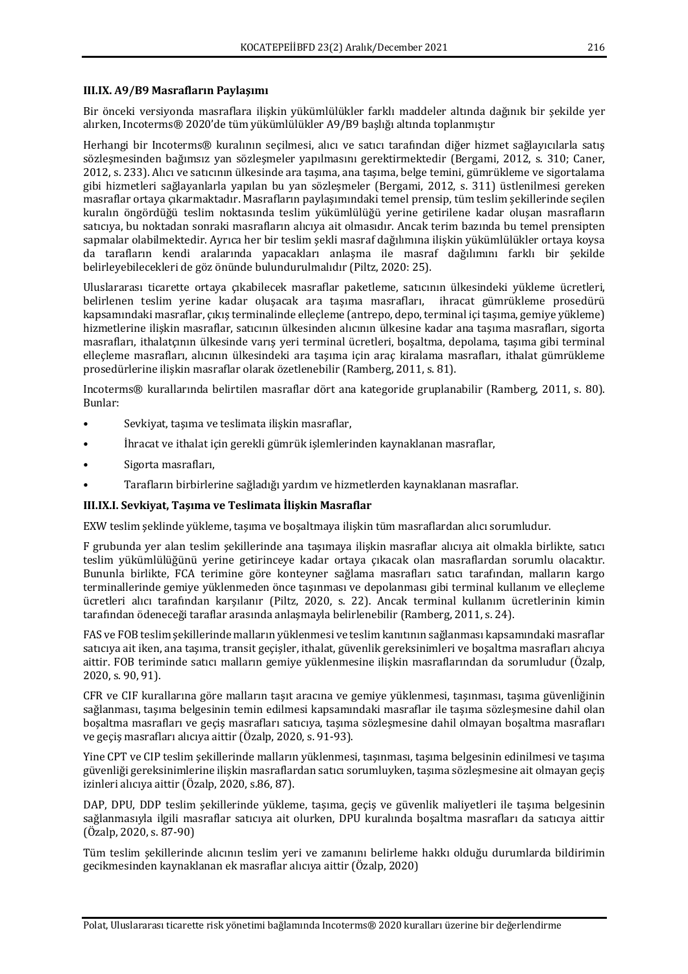#### **III.IX. A9/B9 Masrafların Paylaşımı**

Bir önceki versiyonda masraflara ilişkin yükümlülükler farklı maddeler altında dağınık bir şekilde yer alırken, Incoterms® 2020'de tüm yükümlülükler A9/B9 başlığı altında toplanmıştır

Herhangi bir Incoterms® kuralının seçilmesi, alıcı ve satıcı tarafından diğer hizmet sağlayıcılarla satış sözleşmesinden bağımsız yan sözleşmeler yapılmasını gerektirmektedir (Bergami, 2012, s. 310; Caner, 2012, s. 233). Alıcı ve satıcının ülkesinde ara tasıma, ana taşıma, belge temini, gümrükleme ve sigortalama gibi hizmetleri sağlayanlarla yapılan bu yan sözleşmeler (Bergami, 2012, s. 311) üstlenilmesi gereken masraflar ortaya çıkarmaktadır. Masrafların paylaşımındaki temel prensip, tüm teslim şekillerinde seçilen kuralın öngördüğü teslim noktasında teslim yükümlülüğü yerine getirilene kadar oluşan masrafların satıcıya, bu noktadan sonraki masrafların alıcıya ait olmasıdır. Ancak terim bazında bu temel prensipten sapmalar olabilmektedir. Ayrıca her bir teslim sekli masraf dağılımına ilişkin yükümlülükler ortaya koysa da tarafların kendi aralarında yapacakları anlaşma ile masraf dağılımını farklı bir şekilde belirleyebilecekleri de göz önünde bulundurulmalıdır (Piltz, 2020: 25).

Uluslararası ticarette ortaya çıkabilecek masraflar paketleme, satıcının ülkesindeki yükleme ücretleri, belirlenen teslim yerine kadar oluşacak ara taşıma masrafları, ihracat gümrükleme prosedürü kapsamındaki masraflar, cıkış terminalinde ellecleme (antrepo, depo, terminal içi taşıma, gemiye yükleme) hizmetlerine ilişkin masraflar, satıcının ülkesinden alıcının ülkesine kadar ana taşıma masrafları, sigorta masrafları, ithalatçının ülkesinde varış yeri terminal ücretleri, boşaltma, depolama, taşıma gibi terminal elleçleme masrafları, alıcının ülkesindeki ara taşıma için araç kiralama masrafları, ithalat gümrükleme prosedürlerine ilişkin masraflar olarak özetlenebilir (Ramberg, 2011, s. 81).

Incoterms® kurallarında belirtilen masraflar dört ana kategoride gruplanabilir (Ramberg, 2011, s. 80). Bunlar:

- Sevkiyat, taşıma ve teslimata ilişkin masraflar,
- İhracat ve ithalat için gerekli gümrük işlemlerinden kaynaklanan masraflar,
- Sigorta masrafları,
- Tarafların birbirlerine sağladığı yardım ve hizmetlerden kaynaklanan masraflar.

#### **III.IX.I. Sevkivat. Tasıma ve Teslimata İlişkin Masraflar**

EXW teslim seklinde yükleme, taşıma ve boşaltmaya ilişkin tüm masraflardan alıcı sorumludur.

F grubunda yer alan teslim şekillerinde ana taşımaya ilişkin masraflar alıcıya ait olmakla birlikte, satıcı teslim yükümlülüğünü yerine getirinceye kadar ortaya çıkacak olan masraflardan sorumlu olacaktır. Bununla birlikte, FCA terimine göre konteyner sağlama masrafları satıcı tarafından, malların kargo terminallerinde gemiye yüklenmeden önce taşınması ve depolanması gibi terminal kullanım ve elleçleme ücretleri alıcı tarafından karşılanır (Piltz, 2020, s. 22). Ancak terminal kullanım ücretlerinin kimin tarafından ödeneceği taraflar arasında anlaşmayla belirlenebilir (Ramberg, 2011, s. 24).

FAS ve FOB teslim şekillerinde malların yüklenmesi ve teslim kanıtının sağlanması kapsamındaki masraflar satıcıya ait iken, ana taşıma, transit geçişler, ithalat, güvenlik gereksinimleri ve boşaltma masrafları alıcıya aittir. FOB teriminde satıcı malların gemiye yüklenmesine ilişkin masraflarından da sorumludur (Özalp, 2020, s. 90, 91).

CFR ve CIF kurallarına göre malların taşıt aracına ve gemiye yüklenmesi, taşınması, taşıma güvenliğinin sağlanması, taşıma belgesinin temin edilmesi kapsamındaki masraflar ile taşıma sözleşmesine dahil olan boşaltma masrafları ve geçiş masrafları satıcıya, taşıma sözleşmesine dahil olmayan boşaltma masrafları ve geçiş masrafları alıcıya aittir (Özalp, 2020, s. 91-93).

Yine CPT ve CIP teslim sekillerinde malların vüklenmesi, tasınması, taşıma belgesinin edinilmesi ve taşıma güvenliği gereksinimlerine ilişkin masraflardan satıcı sorumluyken, taşıma sözleşmesine ait olmayan geçiş izinleri alıcıya aittir (Özalp, 2020, s.86, 87).

DAP, DPU, DDP teslim sekillerinde vükleme, taşıma, geçiş ve güvenlik maliyetleri ile taşıma belgesinin sağlanmasıyla ilgili masraflar satıcıya ait olurken, DPU kuralında bosaltma masrafları da satıcıya aittir  $(Özalp, 2020, s. 87-90)$ 

Tüm teslim şekillerinde alıcının teslim yeri ve zamanını belirleme hakkı olduğu durumlarda bildirimin gecikmesinden kaynaklanan ek masraflar alıcıya aittir (Özalp, 2020)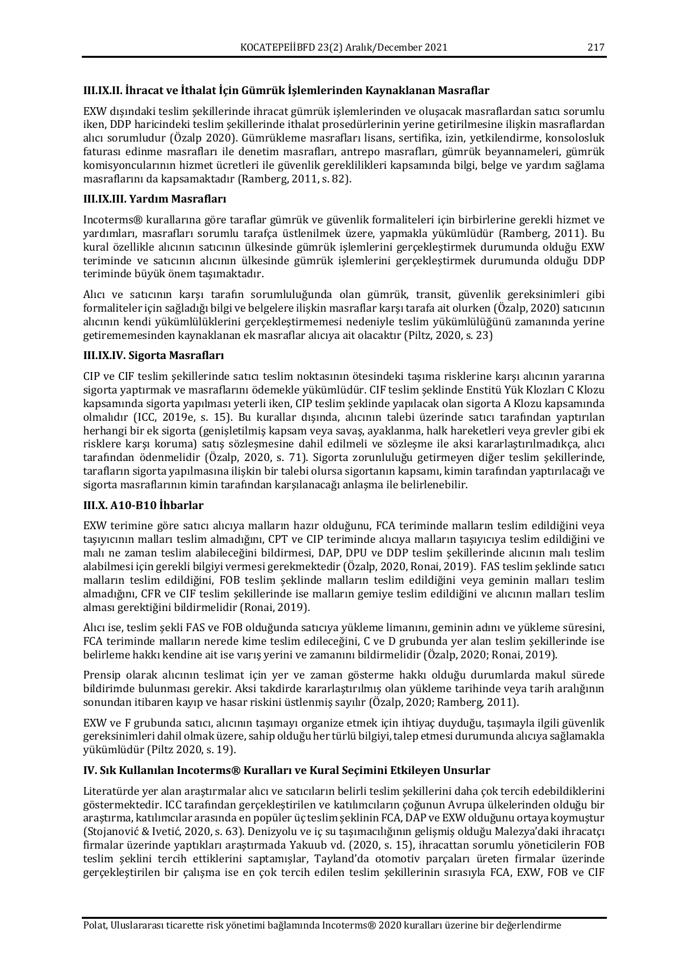# **III.IX.II. İhracat ve İthalat İçin Gümrük İşlemlerinden Kaynaklanan Masraflar**

EXW dışındaki teslim şekillerinde ihracat gümrük işlemlerinden ve oluşacak masraflardan satıcı sorumlu iken, DDP haricindeki teslim şekillerinde ithalat prosedürlerinin yerine getirilmesine ilişkin masraflardan alıcı sorumludur (Özalp 2020). Gümrükleme masrafları lisans, sertifika, izin, yetkilendirme, konsolosluk faturası edinme masrafları ile denetim masrafları, antrepo masrafları, gümrük beyannameleri, gümrük komisyoncularının hizmet ücretleri ile güvenlik gereklilikleri kapsamında bilgi, belge ve yardım sağlama masraflarını da kapsamaktadır (Ramberg, 2011, s. 82).

#### **III.IX.III.** Yardım Masrafları

Incoterms® kurallarına göre taraflar gümrük ve güvenlik formaliteleri için birbirlerine gerekli hizmet ve yardımları, masrafları sorumlu tarafça üstlenilmek üzere, yapmakla yükümlüdür (Ramberg, 2011). Bu kural özellikle alıcının satıcının ülkesinde gümrük işlemlerini gerçekleştirmek durumunda olduğu EXW teriminde ve satıcının alıcının ülkesinde gümrük işlemlerini gerçekleştirmek durumunda olduğu DDP teriminde büyük önem taşımaktadır.

Alıcı ve satıcının karşı tarafın sorumluluğunda olan gümrük, transit, güvenlik gereksinimleri gibi formaliteler için sağladığı bilgi ve belgelere ilişkin masraflar karşı tarafa ait olurken (Özalp, 2020) satıcının alıcının kendi yükümlülüklerini gerçekleştirmemesi nedeniyle teslim yükümlülüğünü zamanında yerine getirememesinden kaynaklanan ek masraflar alıcıya ait olacaktır (Piltz, 2020, s. 23)

## **III.IX.IV.** Sigorta Masrafları

CIP ve CIF teslim sekillerinde satıcı teslim noktasının ötesindeki tasıma risklerine karsı alıcının yararına sigorta yaptırmak ve masraflarını ödemekle yükümlüdür. CIF teslim şeklinde Enstitü Yük Klozları C Klozu kapsamında sigorta yapılması yeterli iken, CIP teslim şeklinde yapılacak olan sigorta A Klozu kapsamında olmalıdır (ICC, 2019e, s. 15). Bu kurallar dışında, alıcının talebi üzerinde satıcı tarafından yaptırılan herhangi bir ek sigorta (genişletilmiş kapsam veya savaş, ayaklanma, halk hareketleri veya grevler gibi ek risklere karşı koruma) satış sözleşmesine dahil edilmeli ve sözleşme ile aksi kararlaştırılmadıkça, alıcı tarafından ödenmelidir (Özalp, 2020, s. 71). Sigorta zorunluluğu getirmeyen diğer teslim sekillerinde, tarafların sigorta yapılmasına ilişkin bir talebi olursa sigortanın kapsamı, kimin tarafından yaptırılacağı ve sigorta masraflarının kimin tarafından karşılanacağı anlaşma ile belirlenebilir.

# **III.X. A10-B10 İhbarlar**

EXW terimine göre satıcı alıcıya malların hazır olduğunu, FCA teriminde malların teslim edildiğini veya taşıyıcının malları teslim almadığını, CPT ve CIP teriminde alıcıya malların taşıyıcıya teslim edildiğini ve malı ne zaman teslim alabileceğini bildirmesi, DAP, DPU ve DDP teslim şekillerinde alıcının malı teslim alabilmesi için gerekli bilgiyi vermesi gerekmektedir (Özalp, 2020, Ronai, 2019). FAS teslim şeklinde satıcı malların teslim edildiğini, FOB teslim şeklinde malların teslim edildiğini veya geminin malları teslim almadığını, CFR ve CIF teslim sekillerinde ise malların gemiye teslim edildiğini ve alıcının malları teslim alması gerektiğini bildirmelidir (Ronai, 2019).

Alıcı ise, teslim sekli FAS ve FOB olduğunda satıcıya yükleme limanını, geminin adını ve yükleme süresini, FCA teriminde malların nerede kime teslim edileceğini, C ve D grubunda yer alan teslim şekillerinde ise belirleme hakkı kendine ait ise varış verini ve zamanını bildirmelidir (Özalp, 2020; Ronai, 2019).

Prensip olarak alıcının teslimat için yer ve zaman gösterme hakkı olduğu durumlarda makul sürede bildirimde bulunması gerekir. Aksi takdirde kararlaştırılmış olan yükleme tarihinde veya tarih aralığının sonundan itibaren kayıp ve hasar riskini üstlenmiş sayılır (Özalp, 2020; Ramberg, 2011).

EXW ve F grubunda satıcı, alıcının taşımayı organize etmek için ihtiyaç duyduğu, taşımayla ilgili güvenlik gereksinimleri dahil olmak üzere, sahip olduğu her türlü bilgiyi, talep etmesi durumunda alıcıya sağlamakla yükümlüdür (Piltz 2020, s. 19).

# **IV. Sık Kullanılan Incoterms® Kuralları ve Kural Seçimini Etkileyen Unsurlar**

Literatürde yer alan araştırmalar alıcı ve satıcıların belirli teslim şekillerini daha çok tercih edebildiklerini göstermektedir. ICC tarafından gercekleştirilen ve katılımcıların coğunun Avrupa ülkelerinden olduğu bir arastırma, katılımcılar arasında en popüler üç teslim şeklinin FCA, DAP ve EXW olduğunu ortaya koymuştur (Stojanović & Ivetić, 2020, s. 63). Denizyolu ve iç su taşımacılığının gelişmiş olduğu Malezya'daki ihracatçı firmalar üzerinde yaptıkları araştırmada Yakuub vd. (2020, s. 15), ihracattan sorumlu yöneticilerin FOB teslim şeklini tercih ettiklerini saptamışlar, Tayland'da otomotiv parçaları üreten firmalar üzerinde gerçekleştirilen bir çalışma ise en çok tercih edilen teslim şekillerinin sırasıyla FCA, EXW, FOB ve CIF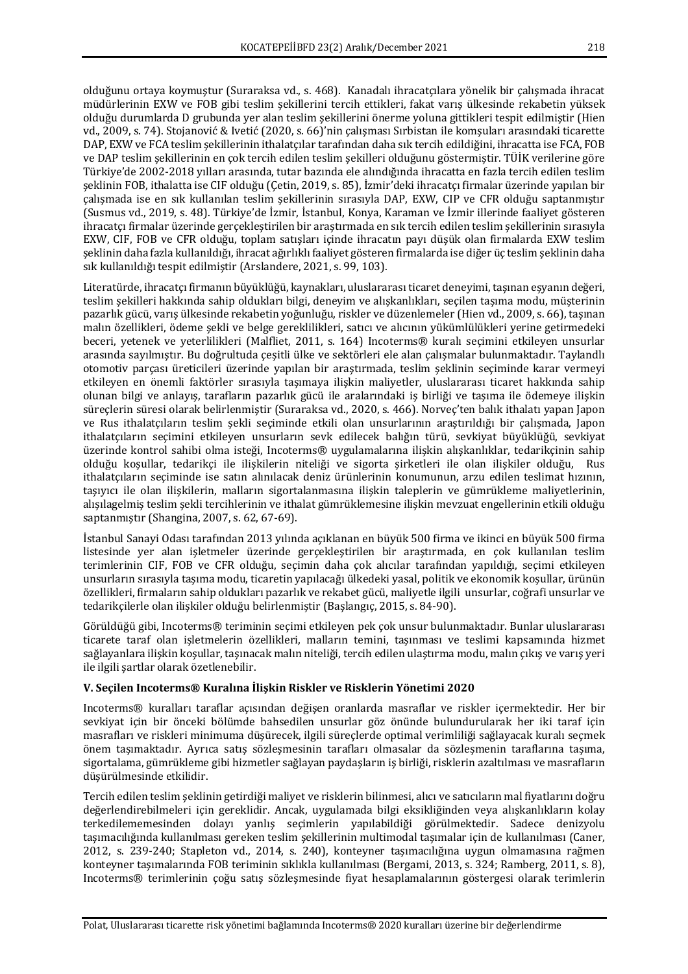olduğunu ortaya koymuştur (Suraraksa vd., s. 468). Kanadalı ihracatçılara yönelik bir çalışmada ihracat müdürlerinin EXW ve FOB gibi teslim şekillerini tercih ettikleri, fakat varış ülkesinde rekabetin yüksek olduğu durumlarda D grubunda yer alan teslim şekillerini önerme yoluna gittikleri tespit edilmiştir (Hien vd., 2009, s. 74). Stojanović & Ivetić (2020, s. 66)'nin çalışması Sırbistan ile komşuları arasındaki ticarette DAP, EXW ve FCA teslim şekillerinin ithalatçılar tarafından daha sık tercih edildiğini, ihracatta ise FCA, FOB ve DAP teslim şekillerinin en çok tercih edilen teslim şekilleri olduğunu göstermiştir. TÜİK verilerine göre Türkiye'de 2002-2018 yılları arasında, tutar bazında ele alındığında ihracatta en fazla tercih edilen teslim seklinin FOB, ithalatta ise CIF olduğu (Cetin, 2019, s. 85), İzmir'deki ihracatcı firmalar üzerinde yapılan bir calısmada ise en sık kullanılan teslim sekillerinin sırasıyla DAP, EXW, CIP ve CFR olduğu saptanmıştır (Susmus vd., 2019, s. 48). Türkiye'de İzmir, İstanbul, Konya, Karaman ve İzmir illerinde faaliyet gösteren ihracatçı firmalar üzerinde gerçekleştirilen bir araştırmada en sık tercih edilen teslim şekillerinin sırasıyla EXW, CIF, FOB ve CFR olduğu, toplam satışları içinde ihracatın payı düşük olan firmalarda EXW teslim seklinin daha fazla kullanıldığı, ihracat ağırlıklı faaliyet gösteren firmalarda ise diğer üç teslim seklinin daha sık kullanıldığı tespit edilmiştir (Arslandere, 2021, s. 99, 103).

Literatürde, ihracatçı firmanın büyüklüğü, kaynakları, uluslararası ticaret deneyimi, taşınan eşyanın değeri, teslim şekilleri hakkında sahip oldukları bilgi, deneyim ve alışkanlıkları, seçilen taşıma modu, müşterinin pazarlık gücü, varış ülkesinde rekabetin yoğunluğu, riskler ve düzenlemeler (Hien vd., 2009, s. 66), taşınan malın özellikleri, ödeme şekli ve belge gereklilikleri, satıcı ve alıcının yükümlülükleri yerine getirmedeki beceri, yetenek ve yeterlilikleri (Malfliet, 2011, s. 164) Incoterms® kuralı seçimini etkileyen unsurlar arasında sayılmıştır. Bu doğrultuda çeşitli ülke ve sektörleri ele alan çalışmalar bulunmaktadır. Taylandlı otomotiv parçası üreticileri üzerinde yapılan bir araştırmada, teslim şeklinin seçiminde karar vermeyi etkileyen en önemli faktörler sırasıyla taşımaya ilişkin maliyetler, uluslararası ticaret hakkında sahip olunan bilgi ve anlayıs, tarafların pazarlık gücü ile aralarındaki iş birliği ve taşıma ile ödemeye ilişkin süreçlerin süresi olarak belirlenmiştir (Suraraksa vd., 2020, s. 466). Norveç'ten balık ithalatı yapan Japon ve Rus ithalatçıların teslim şekli seçiminde etkili olan unsurlarının araştırıldığı bir çalışmada, Japon ithalatçıların seçimini etkileyen unsurların sevk edilecek balığın türü, sevkiyat büyüklüğü, sevkiyat üzerinde kontrol sahibi olma isteği, Incoterms® uygulamalarına ilişkin alışkanlıklar, tedarikçinin sahip olduğu koşullar, tedarikci ile ilişkilerin niteliği ve sigorta sirketleri ile olan ilişkiler olduğu, Rus ithalatçıların seçiminde ise satın alınılacak deniz ürünlerinin konumunun, arzu edilen teslimat hızının, taşıyıcı ile olan ilişkilerin, malların sigortalanmasına ilişkin taleplerin ve gümrükleme maliyetlerinin, alışılagelmiş teslim şekli tercihlerinin ve ithalat gümrüklemesine ilişkin mevzuat engellerinin etkili olduğu saptanmıştır (Shangina, 2007, s. 62, 67-69).

İstanbul Sanayi Odası tarafından 2013 yılında açıklanan en büyük 500 firma ve ikinci en büyük 500 firma listesinde ver alan isletmeler üzerinde gerceklestirilen bir araştırmada, en cok kullanılan teslim terimlerinin CIF, FOB ve CFR olduğu, seçimin daha çok alıcılar tarafından yapıldığı, seçimi etkileyen unsurların sırasıyla taşıma modu, ticaretin yapılacağı ülkedeki yasal, politik ve ekonomik koşullar, ürünün özellikleri, firmaların sahip oldukları pazarlık ve rekabet gücü, maliyetle ilgili unsurlar, coğrafi unsurlar ve tedarikçilerle olan ilişkiler olduğu belirlenmiştir (Başlangıç, 2015, s. 84-90).

Görüldüğü gibi, Incoterms® teriminin seçimi etkileyen pek çok unsur bulunmaktadır. Bunlar uluslararası ticarete taraf olan işletmelerin özellikleri, malların temini, taşınması ve teslimi kapsamında hizmet sağlayanlara ilişkin koşullar, taşınacak malın niteliği, tercih edilen ulaştırma modu, malın çıkış ve varış yeri ile ilgili sartlar olarak özetlenebilir.

#### **V.** Seçilen Incoterms® Kuralına İlişkin Riskler ve Risklerin Yönetimi 2020

Incoterms® kuralları taraflar açısından değişen oranlarda masraflar ve riskler içermektedir. Her bir sevkiyat için bir önceki bölümde bahsedilen unsurlar göz önünde bulundurularak her iki taraf için masrafları ve riskleri minimuma düşürecek, ilgili süreçlerde optimal verimliliği sağlayacak kuralı seçmek önem taşımaktadır. Ayrıca satış sözleşmesinin tarafları olmasalar da sözleşmenin taraflarına taşıma, sigortalama, gümrükleme gibi hizmetler sağlayan paydaşların iş birliği, risklerin azaltılması ve masrafların düşürülmesinde etkilidir.

Tercih edilen teslim şeklinin getirdiği maliyet ve risklerin bilinmesi, alıcı ve satıcıların mal fiyatlarını doğru değerlendirebilmeleri için gereklidir. Ancak, uygulamada bilgi eksikliğinden veya alışkanlıkların kolay terkedilememesinden dolayı yanlış seçimlerin yapılabildiği görülmektedir. Sadece denizyolu taşımacılığında kullanılması gereken teslim şekillerinin multimodal taşımalar için de kullanılması (Caner, 2012, s. 239-240; Stapleton vd., 2014, s. 240), konteyner taşımacılığına uygun olmamasına rağmen konteyner taşımalarında FOB teriminin sıklıkla kullanılması (Bergami, 2013, s. 324; Ramberg, 2011, s. 8), Incoterms® terimlerinin çoğu satış sözleşmesinde fiyat hesaplamalarının göstergesi olarak terimlerin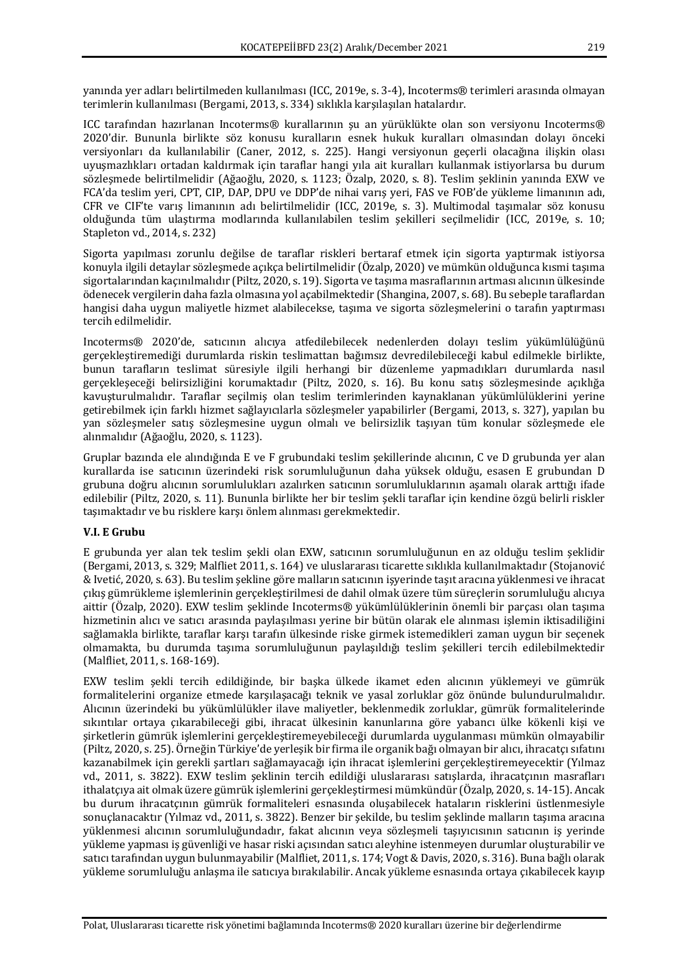yanında yer adları belirtilmeden kullanılması (ICC, 2019e, s. 3-4), Incoterms® terimleri arasında olmayan terimlerin kullanılması (Bergami, 2013, s. 334) sıklıkla karşılaşılan hatalardır.

ICC tarafından hazırlanan Incoterms® kurallarının şu an yürüklükte olan son versiyonu Incoterms® 2020'dir. Bununla birlikte söz konusu kuralların esnek hukuk kuralları olmasından dolayı önceki versiyonları da kullanılabilir (Caner, 2012, s. 225). Hangi versiyonun geçerli olacağına ilişkin olası uyuşmazlıkları ortadan kaldırmak için taraflar hangi yıla ait kuralları kullanmak istiyorlarsa bu durum sözleşmede belirtilmelidir (Ağaoğlu, 2020, s. 1123; Özalp, 2020, s. 8). Teslim şeklinin yanında EXW ve FCA'da teslim veri, CPT, CIP, DAP, DPU ve DDP'de nihai varış veri, FAS ve FOB'de vükleme limanının adı, CFR ve CIF'te varış limanının adı belirtilmelidir (ICC, 2019e, s. 3). Multimodal taşımalar söz konusu olduğunda tüm ulaştırma modlarında kullanılabilen teslim şekilleri seçilmelidir (ICC, 2019e, s. 10; Stapleton vd., 2014, s. 232)

Sigorta yapılması zorunlu değilse de taraflar riskleri bertaraf etmek için sigorta yaptırmak istiyorsa konuyla ilgili detaylar sözleşmede açıkça belirtilmelidir (Özalp, 2020) ve mümkün olduğunca kısmi taşıma sigortalarından kaçınılmalıdır (Piltz, 2020, s. 19). Sigorta ve taşıma masraflarının artması alıcının ülkesinde ödenecek vergilerin daha fazla olmasına yol açabilmektedir (Shangina, 2007, s. 68). Bu sebeple taraflardan hangisi daha uygun maliyetle hizmet alabilecekse, taşıma ve sigorta sözleşmelerini o tarafın yaptırması tercih edilmelidir. 

Incoterms® 2020'de, satıcının alıcıya atfedilebilecek nedenlerden dolayı teslim yükümlülüğünü gerçekleştiremediği durumlarda riskin teslimattan bağımsız devredilebileceği kabul edilmekle birlikte, bunun tarafların teslimat süresiyle ilgili herhangi bir düzenleme yapmadıkları durumlarda nasıl gerçekleşeceği belirsizliğini korumaktadır (Piltz, 2020, s. 16). Bu konu satış sözleşmesinde açıklığa kavuşturulmalıdır. Taraflar seçilmiş olan teşlim terimlerinden kaynaklanan yükümlülüklerini yerine getirebilmek için farklı hizmet sağlayıcılarla sözleşmeler yapabilirler (Bergami, 2013, s. 327), yapılan bu yan sözleşmeler satış sözleşmesine uygun olmalı ve belirsizlik taşıyan tüm konular sözleşmede ele alınmalıdır (Ağaoğlu, 2020, s. 1123).

Gruplar bazında ele alındığında E ve F grubundaki teslim şekillerinde alıcının, C ve D grubunda yer alan kurallarda ise satıcının üzerindeki risk sorumluluğunun daha yüksek olduğu, esasen E grubundan D grubuna doğru alıcının sorumlulukları azalırken satıcının sorumluluklarının aşamalı olarak arttığı ifade edilebilir (Piltz, 2020, s. 11). Bununla birlikte her bir teslim şekli taraflar için kendine özgü belirli riskler taşımaktadır ve bu risklere karşı önlem alınması gerekmektedir.

# **V.I. E Grubu**

E grubunda yer alan tek teslim sekli olan EXW, satıcının sorumluluğunun en az olduğu teslim seklidir (Bergami, 2013, s. 329; Malfliet 2011, s. 164) ve uluslararası ticarette sıklıkla kullanılmaktadır (Stojanović & Ivetić, 2020, s. 63). Bu teslim şekline göre malların satıcının işyerinde taşıt aracına yüklenmesi ve ihracat çıkış gümrükleme işlemlerinin gerçekleştirilmesi de dahil olmak üzere tüm süreçlerin sorumluluğu alıcıya aittir (Özalp, 2020). EXW teslim şeklinde Incoterms® yükümlülüklerinin önemli bir parçası olan taşıma hizmetinin alıcı ve satıcı arasında paylaşılması yerine bir bütün olarak ele alınması işlemin iktisadiliğini sağlamakla birlikte, taraflar karşı tarafın ülkesinde riske girmek istemedikleri zaman uygun bir seçenek olmamakta, bu durumda taşıma sorumluluğunun paylaşıldığı teslim şekilleri tercih edilebilmektedir (Malfliet, 2011, s. 168-169).

EXW teslim şekli tercih edildiğinde, bir başka ülkede ikamet eden alıcının yüklemeyi ve gümrük formalitelerini organize etmede karşılaşacağı teknik ve yasal zorluklar göz önünde bulundurulmalıdır. Alıcının üzerindeki bu yükümlülükler ilave maliyetler, beklenmedik zorluklar, gümrük formalitelerinde sıkıntılar ortaya çıkarabileceği gibi, ihracat ülkesinin kanunlarına göre yabancı ülke kökenli kişi ve şirketlerin gümrük işlemlerini gerçekleştiremeyebileceği durumlarda uygulanması mümkün olmayabilir (Piltz, 2020, s. 25). Örneğin Türkiye'de yerleşik bir firma ile organik bağı olmayan bir alıcı, ihracatçı sıfatını kazanabilmek için gerekli sartları sağlamayacağı için ihracat işlemlerini gerçekleştiremeyecektir (Yılmaz vd., 2011, s. 3822). EXW teslim şeklinin tercih edildiği uluslararası satışlarda, ihracatçının masrafları ithalatçıya ait olmak üzere gümrük işlemlerini gerçekleştirmesi mümkündür (Özalp, 2020, s. 14-15). Ancak bu durum ihracatçının gümrük formaliteleri esnasında oluşabilecek hataların risklerini üstlenmesiyle sonuçlanacaktır (Yılmaz vd., 2011, s. 3822). Benzer bir şekilde, bu teslim şeklinde malların taşıma aracına yüklenmesi alıcının sorumluluğundadır, fakat alıcının veya sözlesmeli taşıyıcısının satıcının iş yerinde yükleme yapması iş güvenliği ve hasar riski açısından satıcı aleyhine istenmeyen durumlar oluşturabilir ve satıcı tarafından uygun bulunmayabilir (Malfliet, 2011, s. 174; Vogt & Davis, 2020, s. 316). Buna bağlı olarak yükleme sorumluluğu anlaşma ile satıcıya bırakılabilir. Ancak yükleme esnasında ortaya çıkabilecek kayıp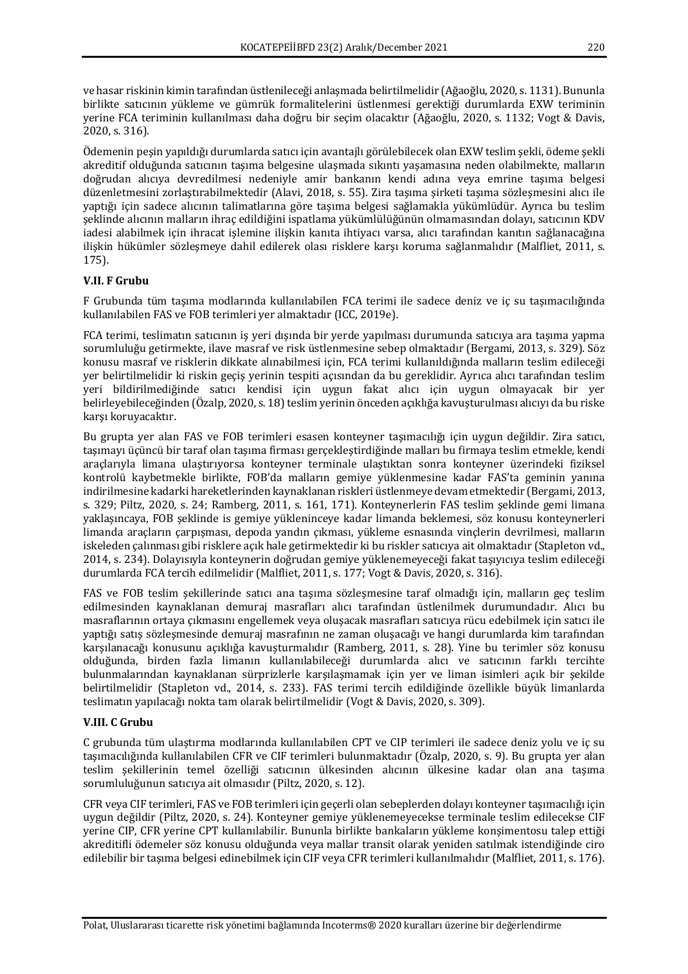ve hasar riskinin kimin tarafından üstlenileceği anlaşmada belirtilmelidir (Ağaoğlu, 2020, s. 1131). Bununla birlikte satıcının yükleme ve gümrük formalitelerini üstlenmesi gerektiği durumlarda EXW teriminin yerine FCA teriminin kullanılması daha doğru bir seçim olacaktır (Ağaoğlu, 2020, s. 1132; Vogt & Davis, 2020, s. 316).

Ödemenin peşin yapıldığı durumlarda satıcı için avantajlı görülebilecek olan EXW teslim şekli, ödeme şekli akreditif olduğunda satıcının taşıma belgesine ulaşmada sıkıntı yaşamasına neden olabilmekte, malların doğrudan alıcıya devredilmesi nedeniyle amir bankanın kendi adına veya emrine taşıma belgesi düzenletmesini zorlaştırabilmektedir (Alavi, 2018, s. 55). Zira taşıma şirketi taşıma sözleşmesini alıcı ile yaptığı için sadece alıcının talimatlarına göre taşıma belgesi sağlamakla yükümlüdür. Ayrıca bu teslim şeklinde alıcının malların ihraç edildiğini ispatlama yükümlülüğünün olmamasından dolayı, satıcının KDV iadesi alabilmek için ihracat işlemine ilişkin kanıta ihtiyacı varsa, alıcı tarafından kanıtın sağlanacağına ilişkin hükümler sözleşmeye dahil edilerek olası risklere karşı koruma sağlanmalıdır (Malfliet, 2011, s. 175).

# **V.II. F Grubu**

F Grubunda tüm taşıma modlarında kullanılabilen FCA terimi ile sadece deniz ve iç su taşımacılığında kullanılabilen FAS ve FOB terimleri ver almaktadır (ICC, 2019e).

FCA terimi, teslimatın satıcının iş yeri dışında bir yerde yapılması durumunda satıcıya ara taşıma yapma sorumluluğu getirmekte, ilave masraf ve risk üstlenmesine sebep olmaktadır (Bergami, 2013, s. 329). Söz konusu masraf ve risklerin dikkate alınabilmesi için, FCA terimi kullanıldığında malların teslim edileceği yer belirtilmelidir ki riskin geçis yerinin tespiti açısından da bu gereklidir. Ayrıca alıcı tarafından teslim yeri bildirilmediğinde satıcı kendisi için uygun fakat alıcı için uygun olmayacak bir yer belirleyebileceğinden (Özalp, 2020, s. 18) teslim yerinin önceden açıklığa kavuşturulması alıcıyı da bu riske karşı koruyacaktır.

Bu grupta yer alan FAS ve FOB terimleri esasen konteyner taşımacılığı için uygun değildir. Zira satıcı, taşımayı üçüncü bir taraf olan taşıma firması gerçekleştirdiğinde malları bu firmaya teslim etmekle, kendi araçlarıyla limana ulaştırıyorsa konteyner terminale ulaştıktan sonra konteyner üzerindeki fiziksel kontrolü kaybetmekle birlikte, FOB'da malların gemiye yüklenmesine kadar FAS'ta geminin yanına indirilmesine kadarki hareketlerinden kaynaklanan riskleri üstlenmeye devam etmektedir (Bergami, 2013, s. 329; Piltz, 2020, s. 24; Ramberg, 2011, s. 161, 171). Konteynerlerin FAS teslim seklinde gemi limana yaklaşıncaya, FOB şeklinde is gemiye yükleninceye kadar limanda beklemesi, söz konusu konteynerleri limanda araçların çarpışması, depoda yandın çıkması, yükleme esnasında vinçlerin devrilmesi, malların iskeleden calınması gibi risklere açık hale getirmektedir ki bu riskler satıcıya ait olmaktadır (Stapleton vd., 2014, s. 234). Dolayısıyla konteynerin doğrudan gemiye yüklenemeyeceği fakat taşıyıcıya teslim edileceği durumlarda FCA tercih edilmelidir (Malfliet, 2011, s. 177; Vogt & Davis, 2020, s. 316).

FAS ve FOB teslim şekillerinde satıcı ana taşıma sözleşmesine taraf olmadığı için, malların geç teslim edilmesinden kaynaklanan demuraj masrafları alıcı tarafından üstlenilmek durumundadır. Alıcı bu masraflarının ortaya çıkmasını engellemek veya oluşacak masrafları satıcıya rücu edebilmek için satıcı ile yaptığı satış sözleşmesinde demuraj masrafının ne zaman oluşacağı ve hangi durumlarda kim tarafından karşılanacağı konusunu açıklığa kavuşturmalıdır (Ramberg, 2011, s. 28). Yine bu terimler söz konusu olduğunda, birden fazla limanın kullanılabileceği durumlarda alıcı ve satıcının farklı tercihte bulunmalarından kaynaklanan sürprizlerle karşılaşmamak için yer ve liman isimleri açık bir şekilde belirtilmelidir (Stapleton vd., 2014, s. 233). FAS terimi tercih edildiğinde özellikle büyük limanlarda teslimatın yapılacağı nokta tam olarak belirtilmelidir (Vogt & Davis, 2020, s. 309).

# **V.III. C Grubu**

C grubunda tüm ulaştırma modlarında kullanılabilen CPT ve CIP terimleri ile sadece deniz yolu ve iç su tasımacılığında kullanılabilen CFR ve CIF terimleri bulunmaktadır (Özalp, 2020, s. 9). Bu grupta ver alan teslim sekillerinin temel özelliği satıcının ülkesinden alıcının ülkesine kadar olan ana taşıma sorumluluğunun satıcıya ait olmasıdır (Piltz, 2020, s. 12).

CFR veya CIF terimleri, FAS ve FOB terimleri için geçerli olan sebeplerden dolayı konteyner taşımacılığı için uygun değildir (Piltz, 2020, s. 24). Konteyner gemiye yüklenemeyecekse terminale teslim edilecekse CIF verine CIP, CFR verine CPT kullanılabilir. Bununla birlikte bankaların vükleme konsimentosu talep ettiği akreditifli ödemeler söz konusu olduğunda veya mallar transit olarak yeniden satılmak istendiğinde ciro edilebilir bir taşıma belgesi edinebilmek için CIF veya CFR terimleri kullanılmalıdır (Malfliet, 2011, s. 176).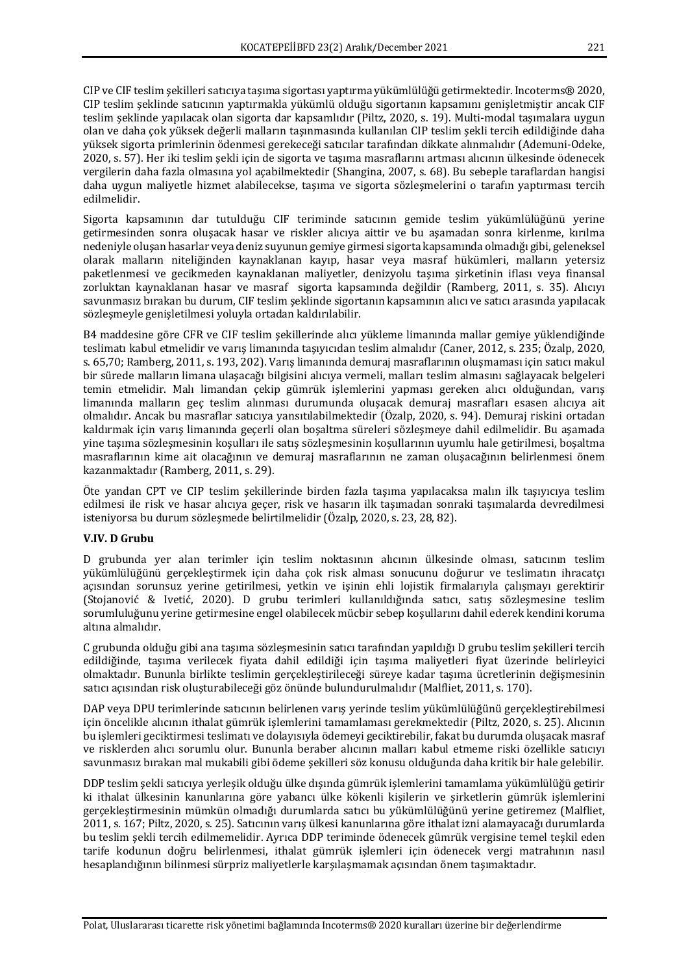CIP ve CIF teslim şekilleri satıcıya taşıma sigortası yaptırma yükümlülüğü getirmektedir. Incoterms® 2020, CIP teslim şeklinde satıcının yaptırmakla yükümlü olduğu sigortanın kapsamını genişletmiştir ancak CIF teslim şeklinde yapılacak olan sigorta dar kapsamlıdır (Piltz, 2020, s. 19). Multi-modal taşımalara uygun olan ve daha çok yüksek değerli malların taşınmasında kullanılan CIP teslim şekli tercih edildiğinde daha yüksek sigorta primlerinin ödenmesi gerekeceği satıcılar tarafından dikkate alınmalıdır (Ademuni-Odeke, 2020, s. 57). Her iki teslim şekli için de sigorta ve taşıma masraflarını artması alıcının ülkesinde ödenecek vergilerin daha fazla olmasına yol açabilmektedir (Shangina, 2007, s. 68). Bu sebeple taraflardan hangisi daha uygun maliyetle hizmet alabilecekse, tasıma ve sigorta sözlesmelerini o tarafın yaptırması tercih edilmelidir. 

Sigorta kapsamının dar tutulduğu CIF teriminde satıcının gemide teslim yükümlülüğünü yerine getirmesinden sonra oluşacak hasar ve riskler alıcıya aittir ve bu aşamadan sonra kirlenme, kırılma nedeniyle oluşan hasarlar veya deniz suyunun gemiye girmesi sigorta kapsamında olmadığı gibi, geleneksel olarak malların niteliğinden kaynaklanan kayıp, hasar veya masraf hükümleri, malların yetersiz paketlenmesi ve gecikmeden kaynaklanan maliyetler, denizyolu taşıma sirketinin iflası veya finansal zorluktan kaynaklanan hasar ve masraf sigorta kapsamında değildir (Ramberg, 2011, s. 35). Alıcıyı savunmasız bırakan bu durum, CIF teslim şeklinde sigortanın kapsamının alıcı ve satıcı arasında yapılacak sözleşmeyle genişletilmesi yoluyla ortadan kaldırılabilir.

B4 maddesine göre CFR ve CIF teslim şekillerinde alıcı yükleme limanında mallar gemiye yüklendiğinde teslimatı kabul etmelidir ve varış limanında taşıyıcıdan teslim almalıdır (Caner, 2012, s. 235; Özalp, 2020, s. 65,70; Ramberg, 2011, s. 193, 202). Varış limanında demuraj masraflarının oluşmaması için şatıcı makul bir sürede malların limana ulaşacağı bilgisini alıcıya vermeli, malları teslim almasını sağlayacak belgeleri temin etmelidir. Malı limandan çekip gümrük işlemlerini yapması gereken alıcı olduğundan, yarış limanında malların geç teslim alınması durumunda oluşacak demuraj masrafları esasen alıcıya ait olmalıdır. Ancak bu masraflar satıcıya yansıtılabilmektedir (Özalp, 2020, s. 94). Demuraj riskini ortadan kaldırmak için varış limanında geçerli olan boşaltma süreleri sözleşmeye dahil edilmelidir. Bu aşamada yine taşıma sözleşmesinin koşulları ile satış sözleşmesinin koşullarının uyumlu hale getirilmesi, boşaltma masraflarının kime ait olacağının ve demuraj masraflarının ne zaman oluşacağının belirlenmesi önem kazanmaktadır (Ramberg, 2011, s. 29).

Öte yandan CPT ve CIP teslim şekillerinde birden fazla taşıma yapılacaksa malın ilk taşıyıcıya teslim edilmesi ile risk ve hasar alıcıya geçer, risk ve hasarın ilk taşımadan sonraki taşımalarda devredilmesi isteniyorsa bu durum sözleşmede belirtilmelidir (Özalp, 2020, s. 23, 28, 82).

#### **V.IV. D Grubu**

D grubunda yer alan terimler için teslim noktasının alıcının ülkesinde olması, satıcının teslim yükümlülüğünü gerçekleştirmek için daha çok risk alması sonucunu doğurur ve teslimatın ihracatçı açısından sorunsuz yerine getirilmesi, yetkin ve işinin ehli lojistik firmalarıyla çalışmayı gerektirir (Stojanović & Ivetić, 2020). D grubu terimleri kullanıldığında satıcı, satış sözleşmesine teslim sorumluluğunu yerine getirmesine engel olabilecek mücbir sebep koşullarını dahil ederek kendini koruma altına almalıdır.

C grubunda olduğu gibi ana taşıma sözleşmesinin satıcı tarafından yapıldığı D grubu teslim şekilleri tercih edildiğinde, taşıma verilecek fiyata dahil edildiği için taşıma maliyetleri fiyat üzerinde belirleyici olmaktadır. Bununla birlikte teslimin gerçekleştirileceği süreye kadar taşıma ücretlerinin değişmesinin satıcı açısından risk oluşturabileceği göz önünde bulundurulmalıdır (Malfliet, 2011, s. 170).

DAP veya DPU terimlerinde satıcının belirlenen varış yerinde teslim yükümlülüğünü gerçekleştirebilmesi için öncelikle alıcının ithalat gümrük işlemlerini tamamlaması gerekmektedir (Piltz, 2020, s. 25). Alıcının bu işlemleri geciktirmesi teslimatı ve dolayısıyla ödemeyi geciktirebilir, fakat bu durumda oluşacak masraf ve risklerden alıcı sorumlu olur. Bununla beraber alıcının malları kabul etmeme riski özellikle satıcıyı savunmasız bırakan mal mukabili gibi ödeme şekilleri söz konusu olduğunda daha kritik bir hale gelebilir.

DDP teslim şekli satıcıya yerleşik olduğu ülke dışında gümrük işlemlerini tamamlama yükümlülüğü getirir ki ithalat ülkesinin kanunlarına göre yabancı ülke kökenli kişilerin ve şirketlerin gümrük işlemlerini gerçekleştirmesinin mümkün olmadığı durumlarda satıcı bu yükümlülüğünü yerine getiremez (Malfliet, 2011, s. 167; Piltz, 2020, s. 25). Satıcının varış ülkesi kanunlarına göre ithalat izni alamayacağı durumlarda bu teslim şekli tercih edilmemelidir. Ayrıca DDP teriminde ödenecek gümrük vergisine temel teşkil eden tarife kodunun doğru belirlenmesi, ithalat gümrük işlemleri için ödenecek vergi matrahının nasıl hesaplandığının bilinmesi sürpriz maliyetlerle karşılaşmamak açısından önem taşımaktadır.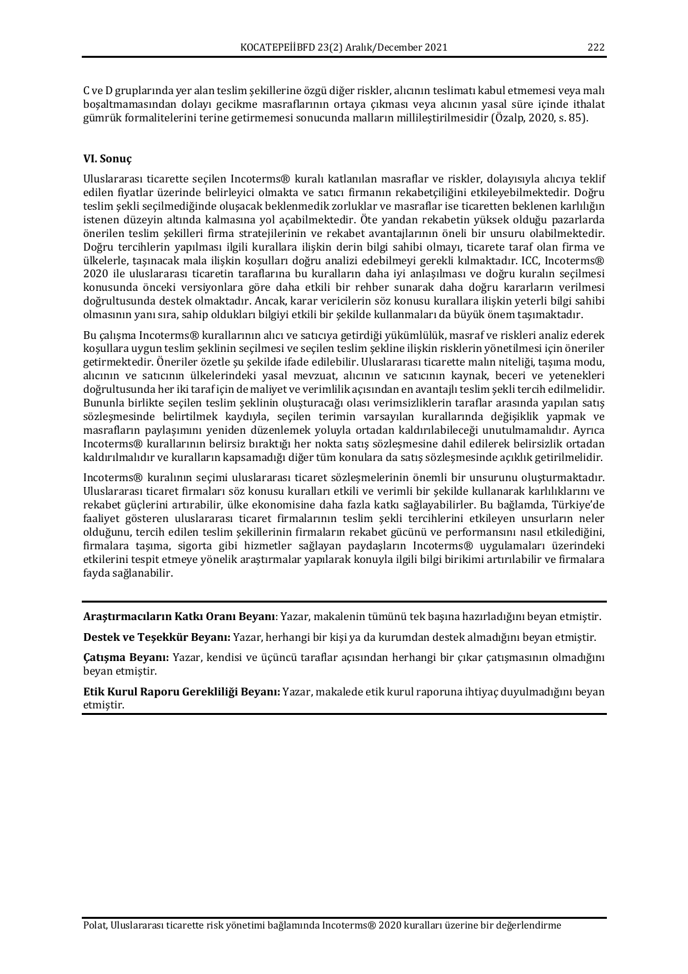C ve D gruplarında yer alan teslim şekillerine özgü diğer riskler, alıcının teslimatı kabul etmemesi veya malı boşaltmamasından dolayı gecikme masraflarının ortaya çıkması veya alıcının yasal süre içinde ithalat gümrük formalitelerini terine getirmemesi sonucunda malların millileştirilmesidir (Özalp, 2020, s. 85).

#### **VI. Sonuç**

Uluslararası ticarette secilen Incoterms® kuralı katlanılan masraflar ve riskler, dolayısıyla alıcıya teklif edilen fiyatlar üzerinde belirleyici olmakta ve satıcı firmanın rekabetçiliğini etkileyebilmektedir. Doğru teslim şekli seçilmediğinde oluşacak beklenmedik zorluklar ve masraflar ise ticaretten beklenen karlılığın istenen düzeyin altında kalmasına yol açabilmektedir. Öte yandan rekabetin yüksek olduğu pazarlarda önerilen teslim şekilleri firma stratejilerinin ve rekabet avantajlarının öneli bir unsuru olabilmektedir. Doğru tercihlerin yapılması ilgili kurallara ilişkin derin bilgi sahibi olmayı, ticarete taraf olan firma ve ülkelerle, tasınacak mala ilişkin koşulları doğru analizi edebilmeyi gerekli kılmaktadır. ICC, Incoterms® 2020 ile uluslararası ticaretin taraflarına bu kuralların daha iyi anlaşılması ve doğru kuralın seçilmesi konusunda önceki versiyonlara göre daha etkili bir rehber sunarak daha doğru kararların verilmesi doğrultusunda destek olmaktadır. Ancak, karar vericilerin söz konusu kurallara ilişkin yeterli bilgi sahibi olmasının yanı sıra, sahip oldukları bilgiyi etkili bir sekilde kullanmaları da büyük önem taşımaktadır.

Bu çalışma Incoterms® kurallarının alıcı ve satıcıya getirdiği yükümlülük, masraf ve riskleri analiz ederek koşullara uygun teslim şeklinin seçilmesi ve seçilen teslim şekline ilişkin risklerin yönetilmesi için öneriler getirmektedir. Öneriler özetle su sekilde ifade edilebilir. Uluslararası ticarette malın niteliği, taşıma modu, alıcının ve satıcının ülkelerindeki yasal mevzuat, alıcının ve satıcının kaynak, beceri ve yetenekleri doğrultusunda her iki taraf için de maliyet ve verimlilik açısından en avantajlı teslim şekli tercih edilmelidir. Bununla birlikte seçilen teslim şeklinin oluşturacağı olası verimsizliklerin taraflar arasında yapılan satış sözleşmesinde belirtilmek kaydıyla, seçilen terimin varsayılan kurallarında değişiklik yapmak ve masrafların paylaşımını yeniden düzenlemek yoluyla ortadan kaldırılabileceği unutulmamalıdır. Ayrıca Incoterms® kurallarının belirsiz bıraktığı her nokta satış sözleşmesine dahil edilerek belirsizlik ortadan kaldırılmalıdır ve kuralların kapsamadığı diğer tüm konulara da satış sözleşmesinde açıklık getirilmelidir.

Incoterms® kuralının secimi uluslararası ticaret sözlesmelerinin önemli bir unsurunu oluşturmaktadır. Uluslararası ticaret firmaları söz konusu kuralları etkili ve verimli bir şekilde kullanarak karlılıklarını ve rekabet güçlerini artırabilir, ülke ekonomisine daha fazla katkı sağlayabilirler. Bu bağlamda, Türkiye'de faaliyet gösteren uluslararası ticaret firmalarının teslim şekli tercihlerini etkileyen unsurların neler olduğunu, tercih edilen teslim sekillerinin firmaların rekabet gücünü ve performansını nasıl etkilediğini, firmalara taşıma, sigorta gibi hizmetler sağlayan paydaşların Incoterms® uygulamaları üzerindeki etkilerini tespit etmeye yönelik araştırmalar yapılarak konuyla ilgili bilgi birikimi artırılabilir ve firmalara fayda sağlanabilir.

**Araştırmacıların Katkı Oranı Beyanı**: Yazar, makalenin tümünü tek başına hazırladığını beyan etmiştir.

Destek ve Teşekkür Beyanı: Yazar, herhangi bir kişi ya da kurumdan destek almadığını beyan etmiştir.

**Çatışma Beyanı:** Yazar, kendisi ve üçüncü taraflar açısından herhangi bir çıkar çatışmasının olmadığını beyan etmiştir.

**Etik Kurul Raporu Gerekliliği Beyanı:** Yazar, makalede etik kurul raporuna ihtiyaç duyulmadığını beyan etmiştir.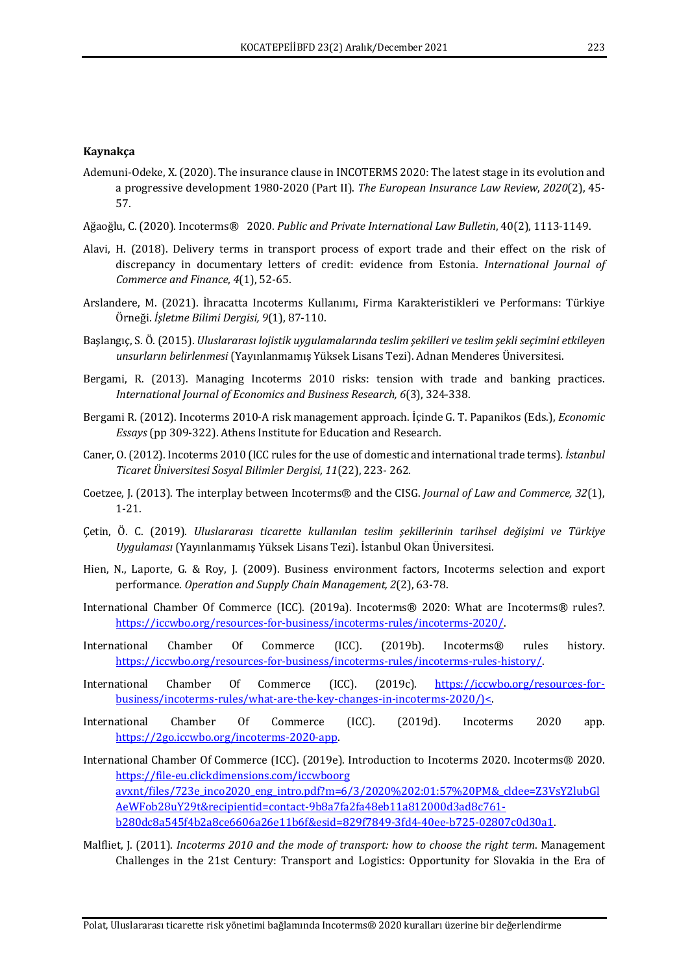#### **Kaynakça**

- Ademuni-Odeke, X. (2020). The insurance clause in INCOTERMS 2020: The latest stage in its evolution and a progressive development 1980-2020 (Part II). *The European Insurance Law Review*, 2020(2), 45-57.
- Ağaoğlu, C. (2020). Incoterms® 2020. Public and Private International Law Bulletin, 40(2), 1113-1149.
- Alavi, H. (2018). Delivery terms in transport process of export trade and their effect on the risk of discrepancy in documentary letters of credit: evidence from Estonia. International Journal of *Commerce and Finance*,  $4(1)$ , 52-65.
- Arslandere, M. (2021). İhracatta Incoterms Kullanımı, Firma Karakteristikleri ve Performans: Türkiye Örneği. *İşletme Bilimi Dergisi, 9*(1), 87-110.
- Başlangıç, S. Ö. (2015). *Uluslararası lojistik uygulamalarında teslim şekilleri ve teslim şekli seçimini etkileyen unsurların belirlenmesi* (Yayınlanmamış Yüksek Lisans Tezi). Adnan Menderes Üniversitesi.
- Bergami, R. (2013). Managing Incoterms 2010 risks: tension with trade and banking practices. *International Journal of Economics and Business Research, 6*(3), 324-338.
- Bergami R. (2012). Incoterms 2010-A risk management approach. İçinde G. T. Papanikos (Eds.), *Economic Essays* (pp 309-322). Athens Institute for Education and Research.
- Caner, O. (2012). Incoterms 2010 (ICC rules for the use of domestic and international trade terms). *İstanbul Ticaret Üniversitesi Sosyal Bilimler Dergisi, 11*(22), 223- 262.
- Coetzee, J. (2013). The interplay between Incoterms® and the CISG. *Journal of Law and Commerce, 32*(1), 1-21.
- Çetin, Ö. C. (2019). *Uluslararası ticarette kullanılan teslim şekillerinin tarihsel değişimi ve Türkiye Uygulaması* (Yayınlanmamış Yüksek Lisans Tezi). İstanbul Okan Üniversitesi.
- Hien, N., Laporte, G. & Roy, J. (2009). Business environment factors, Incoterms selection and export performance. *Operation and Supply Chain Management, 2*(2), 63-78.
- International Chamber Of Commerce (ICC). (2019a). Incoterms® 2020: What are Incoterms® rules?. https://iccwbo.org/resources-for-business/incoterms-rules/incoterms-2020/.
- International Chamber Of Commerce (ICC). (2019b). Incoterms<sup>®</sup> rules history. https://iccwbo.org/resources-for-business/incoterms-rules/incoterms-rules-history/.
- International Chamber Of Commerce (ICC). (2019c). https://iccwbo.org/resources-forbusiness/incoterms-rules/what-are-the-key-changes-in-incoterms-2020/)<.
- International Chamber Of Commerce (ICC). (2019d). Incoterms 2020 app. https://2go.iccwbo.org/incoterms-2020-app.
- International Chamber Of Commerce (ICC). (2019e). Introduction to Incoterms 2020. Incoterms® 2020. https://file-eu.clickdimensions.com/iccwboorg avxnt/files/723e\_inco2020\_eng\_intro.pdf?m=6/3/2020%202:01:57%20PM&\_cldee=Z3VsY2lubGl AeWFob28uY29t&recipientid=contact-9b8a7fa2fa48eb11a812000d3ad8c761 b280dc8a545f4b2a8ce6606a26e11b6f&esid=829f7849-3fd4-40ee-b725-02807c0d30a1.
- Malfliet, J. (2011). *Incoterms 2010 and the mode of transport: how to choose the right term*. Management Challenges in the 21st Century: Transport and Logistics: Opportunity for Slovakia in the Era of